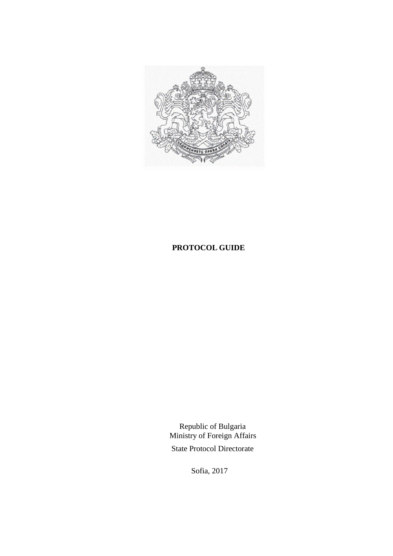

# **PROTOCOL GUIDE**

 Republic of Bulgaria Ministry of Foreign Affairs State Protocol Directorate

Sofia, 2017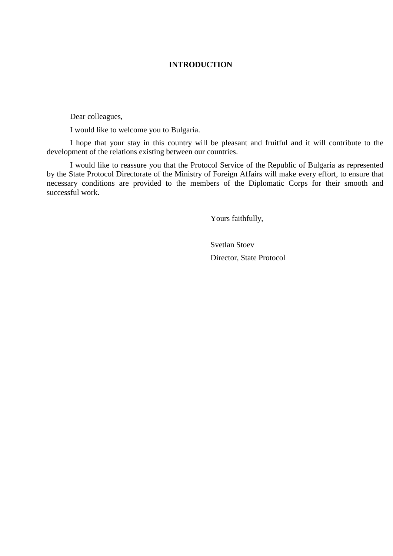## **INTRODUCTION**

Dear colleagues,

I would like to welcome you to Bulgaria.

I hope that your stay in this country will be pleasant and fruitful and it will contribute to the development of the relations existing between our countries.

I would like to reassure you that the Protocol Service of the Republic of Bulgaria as represented by the State Protocol Directorate of the Ministry of Foreign Affairs will make every effort, to ensure that necessary conditions are provided to the members of the Diplomatic Corps for their smooth and successful work.

Yours faithfully,

Svetlan Stoev Director, State Protocol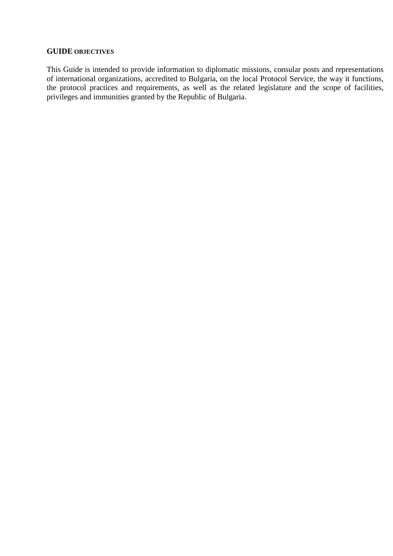#### **GUIDE OBJECTIVES**

This Guide is intended to provide information to diplomatic missions, consular posts and representations of international organizations, accredited to Bulgaria, on the local Protocol Service, the way it functions, the protocol practices and requirements, as well as the related legislature and the scope of facilities, privileges and immunities granted by the Republic of Bulgaria.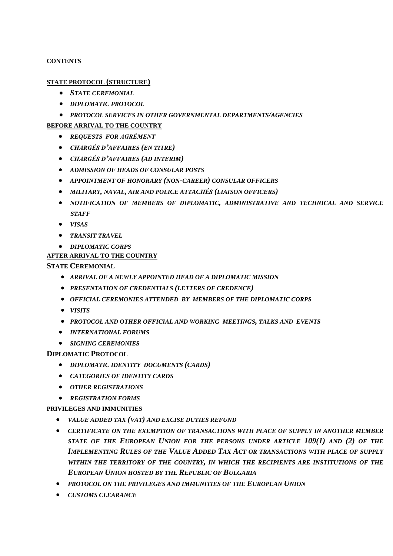#### **CONTENTS**

#### **STATE PROTOCOL (STRUCTURE)**

- *STATE CEREMONIAL*
- *DIPLOMATIC PROTOCOL*
- *PROTOCOL SERVICES IN OTHER GOVERNMENTAL DEPARTMENTS/AGENCIES*

#### **BEFORE ARRIVAL TO THE COUNTRY**

- *REQUESTS FOR AGRÉMENT*
- *CHARGÉS D'AFFAIRES (EN TITRE)*
- *CHARGÉS D'AFFAIRES (AD INTERIM)*
- *ADMISSION OF HEADS OF CONSULAR POSTS*
- *APPOINTMENT OF HONORARY (NON-CAREER) CONSULAR OFFICERS*
- *MILITARY, NAVAL, AIR AND POLICE ATTACHÉS (LIAISON OFFICERS)*
- *NOTIFICATION OF MEMBERS OF DIPLOMATIC, ADMINISTRATIVE AND TECHNICAL AND SERVICE STAFF*
- *VISAS*
- *TRANSIT TRAVEL*
- *DIPLOMATIC CORPS*

# **AFTER ARRIVAL TO THE COUNTRY**

**STATE CEREMONIAL**

- *ARRIVAL OF A NEWLY APPOINTED HEAD OF A DIPLOMATIC MISSION*
- *PRESENTATION OF CREDENTIALS (LETTERS OF CREDENCE)*
- *OFFICIAL CEREMONIES ATTENDED BY MEMBERS OF THE DIPLOMATIC CORPS*
- *VISITS*
- *PROTOCOL AND OTHER OFFICIAL AND WORKING MEETINGS, TALKS AND EVENTS*
- *INTERNATIONAL FORUMS*
- *SIGNING CEREMONIES*

## **DIPLOMATIC PROTOCOL**

- *DIPLOMATIC IDENTITY DOCUMENTS (CARDS)*
- *CATEGORIES OF IDENTITY CARDS*
- *OTHER REGISTRATIONS*
- *REGISTRATION FORMS*

**PRIVILEGES AND IMMUNITIES**

- *VALUE ADDED TAX (VAT) AND EXCISE DUTIES REFUND*
- *CERTIFICATE ON THE EXEMPTION OF TRANSACTIONS WITH PLACE OF SUPPLY IN ANOTHER MEMBER STATE OF THE EUROPEAN UNION FOR THE PERSONS UNDER ARTICLE 109(1) AND (2) OF THE IMPLEMENTING RULES OF THE VALUE ADDED TAX ACT OR TRANSACTIONS WITH PLACE OF SUPPLY WITHIN THE TERRITORY OF THE COUNTRY, IN WHICH THE RECIPIENTS ARE INSTITUTIONS OF THE EUROPEAN UNION HOSTED BY THE REPUBLIC OF BULGARIA*
- *PROTOCOL ON THE PRIVILEGES AND IMMUNITIES OF THE EUROPEAN UNION*
- *CUSTOMS CLEARANCE*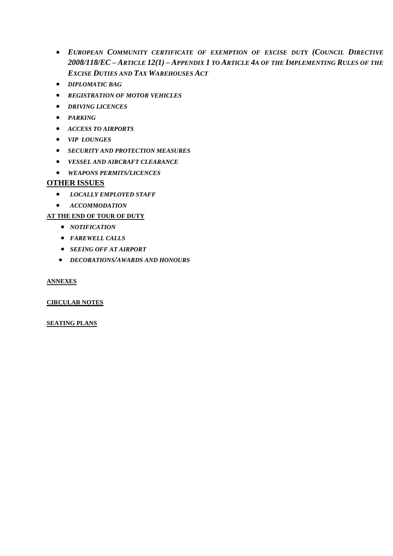- *EUROPEAN COMMUNITY CERTIFICATE OF EXEMPTION OF EXCISE DUTY (COUNCIL DIRECTIVE 2008/118/EC – ARTICLE 12(1) – APPENDIX 1 TO ARTICLE 4A OF THE IMPLEMENTING RULES OF THE EXCISE DUTIES AND TAX WAREHOUSES ACT*
- *DIPLOMATIC BAG*
- *REGISTRATION OF MOTOR VEHICLES*
- *DRIVING LICENCES*
- *PARKING*
- *ACCESS TO AIRPORTS*
- *VIP LOUNGES*
- *SECURITY AND PROTECTION MEASURES*
- *VESSEL AND AIRCRAFT CLEARANCE*
- *WEAPONS PERMITS/LICENCES*

# **OTHER ISSUES**

- *LOCALLY EMPLOYED STAFF*
- *ACCOMMODATION*

# **AT THE END OF TOUR OF DUTY**

- *NOTIFICATION*
- *FAREWELL CALLS*
- *SEEING OFF AT AIRPORT*
- *DECORATIONS/AWARDS AND HONOURS*

# **ANNEXES**

# **CIRCULAR NOTES**

## **SEATING PLANS**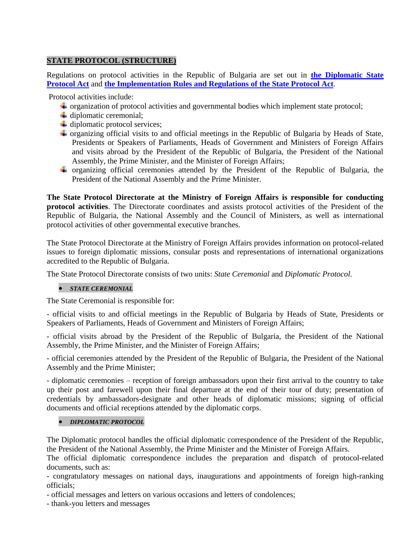# **STATE PROTOCOL (STRUCTURE)**

Regulations on protocol activities in the Republic of Bulgaria are set out in **[the Diplomatic State](http://www.mfa.bg/uploads/files/!Protokol-Guide/4-Normativni-Aktove/04-ZDP-bg-en.pdf)  [Protocol Act](http://www.mfa.bg/uploads/files/!Protokol-Guide/4-Normativni-Aktove/04-ZDP-bg-en.pdf)** and **[the Implementation Rules and Regulations of the State Protocol Act](http://www.mfa.bg/uploads/files/!Protokol-Guide/4-Normativni-Aktove/05-Pr-ZDP-bg.pdf)**.

Protocol activities include:

- $\overline{\text{+}}$  organization of protocol activities and governmental bodies which implement state protocol;
- $\ddot{\phantom{a}}$  diplomatic ceremonial;
- $\overline{\text{L}}$  diplomatic protocol services;
- $\overline{\text{+}}$  organizing official visits to and official meetings in the Republic of Bulgaria by Heads of State, Presidents or Speakers of Parliaments, Heads of Government and Ministers of Foreign Affairs and visits abroad by the President of the Republic of Bulgaria, the President of the National Assembly, the Prime Minister, and the Minister of Foreign Affairs;
- organizing official ceremonies attended by the President of the Republic of Bulgaria, the President of the National Assembly and the Prime Minister.

**The State Protocol Directorate at the Ministry of Foreign Affairs is responsible for conducting protocol activities**. The Directorate coordinates and assists protocol activities of the President of the Republic of Bulgaria, the National Assembly and the Council of Ministers, as well as international protocol activities of other governmental executive branches.

The State Protocol Directorate at the Ministry of Foreign Affairs provides information on protocol-related issues to foreign diplomatic missions, consular posts and representations of international organizations accredited to the Republic of Bulgaria.

The State Protocol Directorate consists of two units: *State Ceremonial* and *Diplomatic Protocol.*

## *STATE CEREMONIAL*

The State Ceremonial is responsible for:

- official visits to and official meetings in the Republic of Bulgaria by Heads of State, Presidents or Speakers of Parliaments, Heads of Government and Ministers of Foreign Affairs;

- official visits abroad by the President of the Republic of Bulgaria, the President of the National Assembly, the Prime Minister, and the Minister of Foreign Affairs;

- official ceremonies attended by the President of the Republic of Bulgaria, the President of the National Assembly and the Prime Minister;

- diplomatic ceremonies – reception of foreign ambassadors upon their first arrival to the country to take up their post and farewell upon their final departure at the end of their tour of duty; presentation of credentials by ambassadors-designate and other heads of diplomatic missions; signing of official documents and official receptions attended by the diplomatic corps.

## *DIPLOMATIC PROTOCOL*

The Diplomatic protocol handles the official diplomatic correspondence of the President of the Republic, the President of the National Assembly, the Prime Minister and the Minister of Foreign Affairs.

The official diplomatic correspondence includes the preparation and dispatch of protocol-related documents, such as:

- congratulatory messages on national days, inaugurations and appointments of foreign high-ranking officials;

- official messages and letters on various occasions and letters of condolences;

- thank-you letters and messages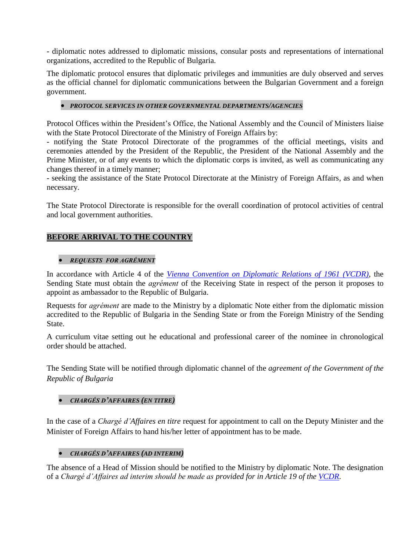- diplomatic notes addressed to diplomatic missions, consular posts and representations of international organizations, accredited to the Republic of Bulgaria.

The diplomatic protocol ensures that diplomatic privileges and immunities are duly observed and serves as the official channel for diplomatic communications between the Bulgarian Government and a foreign government.

# *PROTOCOL SERVICES IN OTHER GOVERNMENTAL DEPARTMENTS/AGENCIES*

Protocol Offices within the President's Office, the National Assembly and the Council of Ministers liaise with the State Protocol Directorate of the Ministry of Foreign Affairs by:

- notifying the State Protocol Directorate of the programmes of the official meetings, visits and ceremonies attended by the President of the Republic, the President of the National Assembly and the Prime Minister, or of any events to which the diplomatic corps is invited, as well as communicating any changes thereof in a timely manner;

- seeking the assistance of the State Protocol Directorate at the Ministry of Foreign Affairs, as and when necessary.

The State Protocol Directorate is responsible for the overall coordination of protocol activities of central and local government authorities.

# **BEFORE ARRIVAL TO THE COUNTRY**

## *REQUESTS FOR AGRÉMENT*

In accordance with Article 4 of the *[Vienna Convention on Diplomatic Relations of 1961 \(VCDR\)](http://www.mfa.bg/uploads/files/!Protokol-Guide/4-Normativni-Aktove/01-VKDO-bg.pdf)*, the Sending State must obtain the *agrément* of the Receiving State in respect of the person it proposes to appoint as ambassador to the Republic of Bulgaria.

Requests for *agrément* are made to the Ministry by a diplomatic Note either from the diplomatic mission accredited to the Republic of Bulgaria in the Sending State or from the Foreign Ministry of the Sending State.

A curriculum vitae setting out he educational and professional career of the nominee in chronological order should be attached.

The Sending State will be notified through diplomatic channel of the *agreement of the Government of the Republic of Bulgaria* 

## *CHARGÉS D'AFFAIRES (EN TITRE)*

In the case of a *Chargé d'Affaires en titre* request for appointment to call on the Deputy Minister and the Minister of Foreign Affairs to hand his/her letter of appointment has to be made.

## *CHARGÉS D'AFFAIRES (AD INTERIM)*

The absence of a Head of Mission should be notified to the Ministry by diplomatic Note. The designation of a *Chargé d'Affaires ad interim should be made as provided for in Article 19 of the [VCDR](http://www.mfa.bg/uploads/files/!Protokol-Guide/4-Normativni-Aktove/01-VKDO-bg.pdf)*.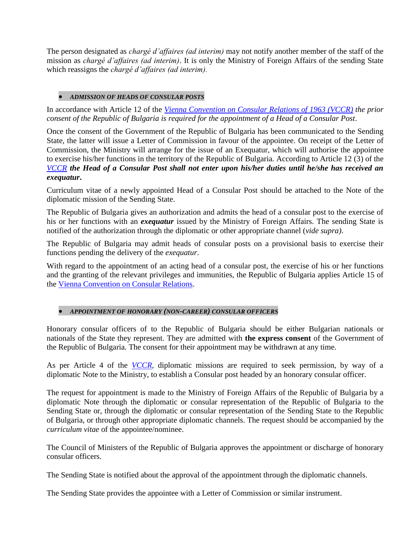The person designated as *chargé d'affaires (ad interim)* may not notify another member of the staff of the mission as *chargé d'affaires (ad interim)*. It is only the Ministry of Foreign Affairs of the sending State which reassigns the *chargé d'affaires (ad interim).*

# *ADMISSION OF HEADS OF CONSULAR POSTS*

In accordance with Article 12 of the *[Vienna Convention on Consular Relations of 1963 \(VCCR\)](http://www.mfa.bg/uploads/files/!Protokol-Guide/4-Normativni-Aktove/02-VKKO-bg.pdf) the prior consent of the Republic of Bulgaria is required for the appointment of a Head of a Consular Post*.

Once the consent of the Government of the Republic of Bulgaria has been communicated to the Sending State, the latter will issue a Letter of Commission in favour of the appointee. On receipt of the Letter of Commission, the Ministry will arrange for the issue of an Exequatur, which will authorise the appointee to exercise his/her functions in the territory of the Republic of Bulgaria. According to Article 12 (3) of the *[VCCR](http://www.mfa.bg/uploads/files/!Protokol-Guide/4-Normativni-Aktove/02-VKKO-bg.pdf) the Head of a Consular Post shall not enter upon his/her duties until he/she has received an exequatur***.**

Curriculum vitae of a newly appointed Head of a Consular Post should be attached to the Note of the diplomatic mission of the Sending State.

The Republic of Bulgaria gives an authorization and admits the head of a consular post to the exercise of his or her functions with an *exequatur* issued by the Ministry of Foreign Affairs. The sending State is notified of the authorization through the diplomatic or other appropriate channel (*vide supra)*.

The Republic of Bulgaria may admit heads of consular posts on a provisional basis to exercise their functions pending the delivery of the *exequatur*.

With regard to the appointment of an acting head of a consular post, the exercise of his or her functions and the granting of the relevant privileges and immunities, the Republic of Bulgaria applies Article 15 of the [Vienna Convention on Consular Relations.](http://www.mfa.bg/uploads/files/!Protokol-Guide/4-Normativni-Aktove/02-VKKO-bg.pdf)

# *APPOINTMENT OF HONORARY (NON-CAREER) CONSULAR OFFICERS*

Honorary consular officers of to the Republic of Bulgaria should be either Bulgarian nationals or nationals of the State they represent. They are admitted with **the express consent** of the Government of the Republic of Bulgaria. The consent for their appointment may be withdrawn at any time.

As per Article 4 of the *[VCCR,](http://www.mfa.bg/uploads/files/!Protokol-Guide/4-Normativni-Aktove/02-VKKO-bg.pdf)* diplomatic missions are required to seek permission, by way of a diplomatic Note to the Ministry, to establish a Consular post headed by an honorary consular officer.

The request for appointment is made to the Ministry of Foreign Affairs of the Republic of Bulgaria by a diplomatic Note through the diplomatic or consular representation of the Republic of Bulgaria to the Sending State or, through the diplomatic or consular representation of the Sending State to the Republic of Bulgaria, or through other appropriate diplomatic channels. The request should be accompanied by the *curriculum vitae* of the appointee/nominee.

The Council of Ministers of the Republic of Bulgaria approves the appointment or discharge of honorary consular officers.

The Sending State is notified about the approval of the appointment through the diplomatic channels.

The Sending State provides the appointee with a Letter of Commission or similar instrument.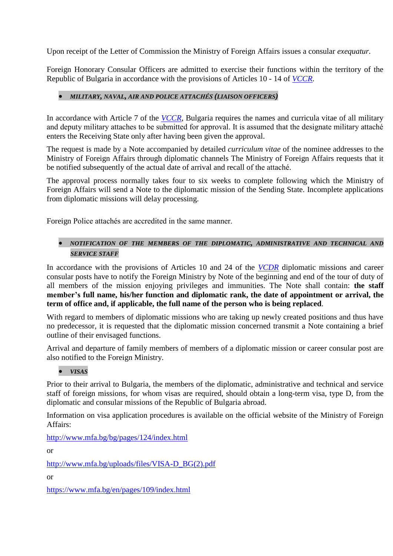Upon receipt of the Letter of Commission the Ministry of Foreign Affairs issues a consular *exequatur.*

Foreign Honorary Consular Officers are admitted to exercise their functions within the territory of the Republic of Bulgaria in accordance with the provisions of Articles 10 - 14 of *[VCCR](http://www.mfa.bg/uploads/files/!Protokol-Guide/4-Normativni-Aktove/02-VKKO-bg.pdf)*.

# *MILITARY, NAVAL, AIR AND POLICE ATTACHÉS (LIAISON OFFICERS)*

In accordance with Article 7 of the *[VCCR](http://www.mfa.bg/uploads/files/!Protokol-Guide/4-Normativni-Aktove/02-VKKO-bg.pdf)*, Bulgaria requires the names and curricula vitae of all military and deputy military attaches to be submitted for approval. It is assumed that the designate military attaché enters the Receiving State only after having been given the approval.

The request is made by a Note accompanied by detailed *curriculum vitae* of the nominee addresses to the Ministry of Foreign Affairs through diplomatic channels The Ministry of Foreign Affairs requests that it be notified subsequently of the actual date of arrival and recall of the attaché.

The approval process normally takes four to six weeks to complete following which the Ministry of Foreign Affairs will send a Note to the diplomatic mission of the Sending State. Incomplete applications from diplomatic missions will delay processing.

Foreign Police attachés are accredited in the same manner.

# *NOTIFICATION OF THE MEMBERS OF THE DIPLOMATIC, ADMINISTRATIVE AND TECHNICAL AND SERVICE STAFF*

In accordance with the provisions of Articles 10 and 24 of the *[VCDR](http://www.mfa.bg/uploads/files/!Protokol-Guide/4-Normativni-Aktove/01-VKDO-bg.pdf)* diplomatic missions and career consular posts have to notify the Foreign Ministry by Note of the beginning and end of the tour of duty of all members of the mission enjoying privileges and immunities. The Note shall contain: **the staff member's full name, his/her function and diplomatic rank, the date of appointment or arrival, the term of office and, if applicable, the full name of the person who is being replaced**.

With regard to members of diplomatic missions who are taking up newly created positions and thus have no predecessor, it is requested that the diplomatic mission concerned transmit a Note containing a brief outline of their envisaged functions.

Arrival and departure of family members of members of a diplomatic mission or career consular post are also notified to the Foreign Ministry.

# *VISAS*

Prior to their arrival to Bulgaria, the members of the diplomatic, administrative and technical and service staff of foreign missions, for whom visas are required, should obtain a long-term visa, type D, from the diplomatic and consular missions of the Republic of Bulgaria abroad.

Information on visa application procedures is available on the official website of the Ministry of Foreign Affairs:

<http://www.mfa.bg/bg/pages/124/index.html>

or

[http://www.mfa.bg/uploads/files/VISA-D\\_BG\(2\).pdf](http://www.mfa.bg/uploads/files/VISA-D_BG(2).pdf)

or

<https://www.mfa.bg/en/pages/109/index.html>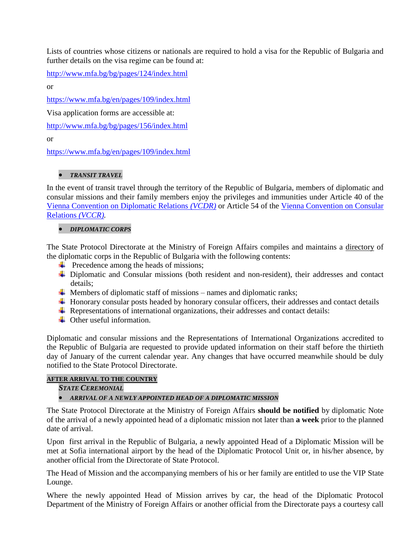Lists of countries whose citizens or nationals are required to hold a visa for the Republic of Bulgaria and further details on the visa regime can be found at:

<http://www.mfa.bg/bg/pages/124/index.html>

or

<https://www.mfa.bg/en/pages/109/index.html>

Visa application forms are accessible at:

<http://www.mfa.bg/bg/pages/156/index.html>

or

<https://www.mfa.bg/en/pages/109/index.html>

# *TRANSIT TRAVEL*

In the event of transit travel through the territory of the Republic of Bulgaria, members of diplomatic and consular missions and their family members enjoy the privileges and immunities under Article 40 of the [Vienna Convention on Diplomatic Relations](http://www.mfa.bg/uploads/files/!Protokol-Guide/4-Normativni-Aktove/01-VKDO-bg.pdf) *(VCDR)* or Article 54 of the [Vienna Convention on Consular](http://www.mfa.bg/uploads/files/!Protokol-Guide/4-Normativni-Aktove/02-VKKO-bg.pdf)  [Relations](http://www.mfa.bg/uploads/files/!Protokol-Guide/4-Normativni-Aktove/02-VKKO-bg.pdf) *(VCCR).*

# *DIPLOMATIC CORPS*

The State Protocol Directorate at the Ministry of Foreign Affairs compiles and maintains a directory of the diplomatic corps in the Republic of Bulgaria with the following contents:

- $\overrightarrow{ }$  Precedence among the heads of missions;
- $\overline{\phantom{a}}$  Diplomatic and Consular missions (both resident and non-resident), their addresses and contact details;
- $\overline{\text{4}}$  Members of diplomatic staff of missions names and diplomatic ranks;
- $\overline{\text{H}}$  Honorary consular posts headed by honorary consular officers, their addresses and contact details
- $\overline{\text{L}}$  Representations of international organizations, their addresses and contact details:
- $\triangleq$  Other useful information.

Diplomatic and consular missions and the Representations of International Organizations accredited to the Republic of Bulgaria are requested to provide updated information on their staff before the thirtieth day of January of the current calendar year. Any changes that have occurred meanwhile should be duly notified to the State Protocol Directorate.

# **AFTER ARRIVAL TO THE COUNTRY**

*STATE CEREMONIAL*

# *ARRIVAL OF A NEWLY APPOINTED HEAD OF A DIPLOMATIC MISSION*

The State Protocol Directorate at the Ministry of Foreign Affairs **should be notified** by diplomatic Note of the arrival of a newly appointed head of a diplomatic mission not later than **a week** prior to the planned date of arrival.

Upon first arrival in the Republic of Bulgaria, a newly appointed Head of a Diplomatic Mission will be met at Sofia international airport by the head of the Diplomatic Protocol Unit or, in his/her absence, by another official from the Directorate of State Protocol.

The Head of Mission and the accompanying members of his or her family are entitled to use the VIP State Lounge.

Where the newly appointed Head of Mission arrives by car, the head of the Diplomatic Protocol Department of the Ministry of Foreign Affairs or another official from the Directorate pays a courtesy call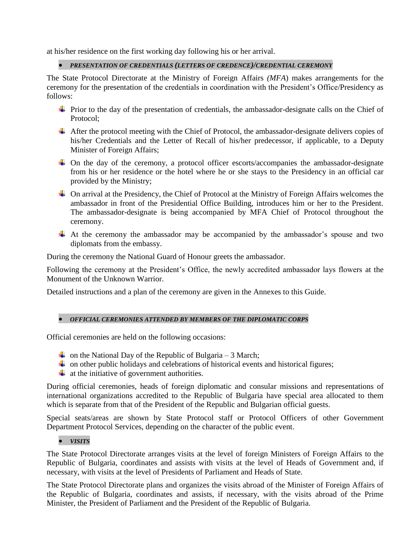at his/her residence on the first working day following his or her arrival.

*PRESENTATION OF CREDENTIALS (LETTERS OF CREDENCE)/CREDENTIAL CEREMONY*

The State Protocol Directorate at the Ministry of Foreign Affairs *(MFA*) makes arrangements for the ceremony for the presentation of the credentials in coordination with the President's Office/Presidency as follows:

- $\overline{\phantom{a}}$  Prior to the day of the presentation of credentials, the ambassador-designate calls on the Chief of Protocol;
- $\overline{\phantom{a} \overline{\phantom{a}}}$  After the protocol meeting with the Chief of Protocol, the ambassador-designate delivers copies of his/her Credentials and the Letter of Recall of his/her predecessor, if applicable, to a Deputy Minister of Foreign Affairs;
- $\downarrow$  On the day of the ceremony, a protocol officer escorts/accompanies the ambassador-designate from his or her residence or the hotel where he or she stays to the Presidency in an official car provided by the Ministry;
- $\triangleq$  On arrival at the Presidency, the Chief of Protocol at the Ministry of Foreign Affairs welcomes the ambassador in front of the Presidential Office Building, introduces him or her to the President. The ambassador-designate is being accompanied by MFA Chief of Protocol throughout the ceremony.
- $\overline{\text{+}}$  At the ceremony the ambassador may be accompanied by the ambassador's spouse and two diplomats from the embassy.

During the ceremony the National Guard of Honour greets the ambassador.

Following the ceremony at the President's Office, the newly accredited ambassador lays flowers at the Monument of the Unknown Warrior.

Detailed instructions and a plan of the ceremony are given in the Annexes to this Guide.

#### *OFFICIAL CEREMONIES ATTENDED BY MEMBERS OF THE DIPLOMATIC CORPS*

Official ceremonies are held on the following occasions:

- on the National Day of the Republic of Bulgaria 3 March;
- $\downarrow$  on other public holidays and celebrations of historical events and historical figures;
- $\ddot{\bullet}$  at the initiative of government authorities.

During official ceremonies, heads of foreign diplomatic and consular missions and representations of international organizations accredited to the Republic of Bulgaria have special area allocated to them which is separate from that of the President of the Republic and Bulgarian official guests.

Special seats/areas are shown by State Protocol staff or Protocol Officers of other Government Department Protocol Services, depending on the character of the public event.

## *VISITS*

The State Protocol Directorate arranges visits at the level of foreign Ministers of Foreign Affairs to the Republic of Bulgaria, coordinates and assists with visits at the level of Heads of Government and, if necessary, with visits at the level of Presidents of Parliament and Heads of State.

The State Protocol Directorate plans and organizes the visits abroad of the Minister of Foreign Affairs of the Republic of Bulgaria, coordinates and assists, if necessary, with the visits abroad of the Prime Minister, the President of Parliament and the President of the Republic of Bulgaria.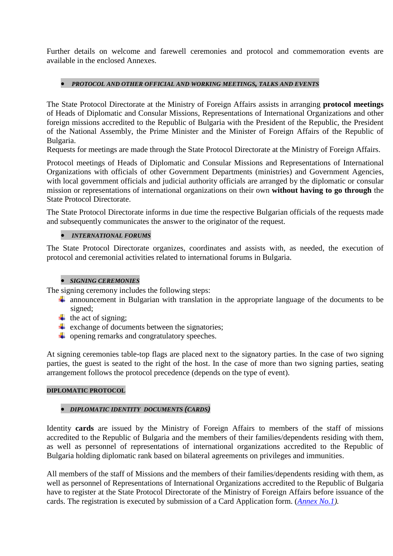Further details on welcome and farewell ceremonies and protocol and commemoration events are available in the enclosed Annexes.

# *PROTOCOL AND OTHER OFFICIAL AND WORKING MEETINGS, TALKS AND EVENTS*

The State Protocol Directorate at the Ministry of Foreign Affairs assists in arranging **protocol meetings** of Heads of Diplomatic and Consular Missions, Representations of International Organizations and other foreign missions accredited to the Republic of Bulgaria with the President of the Republic, the President of the National Assembly, the Prime Minister and the Minister of Foreign Affairs of the Republic of Bulgaria.

Requests for meetings are made through the State Protocol Directorate at the Ministry of Foreign Affairs.

Protocol meetings of Heads of Diplomatic and Consular Missions and Representations of International Organizations with officials of other Government Departments (ministries) and Government Agencies, with local government officials and judicial authority officials are arranged by the diplomatic or consular mission or representations of international organizations on their own **without having to go through** the State Protocol Directorate.

The State Protocol Directorate informs in due time the respective Bulgarian officials of the requests made and subsequently communicates the answer to the originator of the request.

# *INTERNATIONAL FORUMS*

The State Protocol Directorate organizes, coordinates and assists with, as needed, the execution of protocol and ceremonial activities related to international forums in Bulgaria.

# *SIGNING CEREMONIES*

The signing ceremony includes the following steps:

- $\pm$  announcement in Bulgarian with translation in the appropriate language of the documents to be signed;
- $\overline{\text{the}}$  the act of signing;
- $\overline{\phantom{a}}$  exchange of documents between the signatories;
- $\overline{\phantom{a}}$  opening remarks and congratulatory speeches.

At signing ceremonies table-top flags are placed next to the signatory parties. In the case of two signing parties, the guest is seated to the right of the host. In the case of more than two signing parties, seating arrangement follows the protocol precedence (depends on the type of event).

# **DIPLOMATIC PROTOCOL**

# *DIPLOMATIC IDENTITY DOCUMENTS (CARDS)*

Identity **cards** are issued by the Ministry of Foreign Affairs to members of the staff of missions accredited to the Republic of Bulgaria and the members of their families/dependents residing with them, as well as personnel of representations of international organizations accredited to the Republic of Bulgaria holding diplomatic rank based on bilateral agreements on privileges and immunities.

All members of the staff of Missions and the members of their families/dependents residing with them, as well as personnel of Representations of International Organizations accredited to the Republic of Bulgaria have to register at the State Protocol Directorate of the Ministry of Foreign Affairs before issuance of the cards. The registration is executed by submission of a Card Application form. (*[Annex No.1\)](http://www.mfa.bg/uploads/files/!Protokol-Guide/5-Formuliari/2017-06-29/Annex_1.pdf).*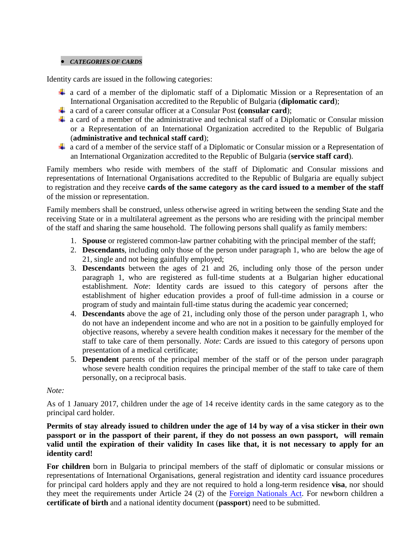#### *CATEGORIES OF CARDS*

Identity cards are issued in the following categories:

- $\perp$  a card of a member of the diplomatic staff of a Diplomatic Mission or a Representation of an International Organisation accredited to the Republic of Bulgaria (**diplomatic card**);
- a card of a career consular officer at a Consular Post **(consular card**);
- $\overline{\text{+}}$  a card of a member of the administrative and technical staff of a Diplomatic or Consular mission or a Representation of an International Organization accredited to the Republic of Bulgaria (**administrative and technical staff card**);
- $\downarrow$  a card of a member of the service staff of a Diplomatic or Consular mission or a Representation of an International Organization accredited to the Republic of Bulgaria (**service staff card**).

Family members who reside with members of the staff of Diplomatic and Consular missions and representations of International Organisations accredited to the Republic of Bulgaria are equally subject to registration and they receive **cards of the same category as the card issued to a member of the staff** of the mission or representation.

Family members shall be construed, unless otherwise agreed in writing between the sending State and the receiving State or in a multilateral agreement as the persons who are residing with the principal member of the staff and sharing the same household. The following persons shall qualify as family members:

- 1. **Spouse** or registered common-law partner cohabiting with the principal member of the staff;
- 2. **Descendants**, including only those of the person under paragraph 1, who are below the age of 21, single and not being gainfully employed;
- 3. **Descendants** between the ages of 21 and 26, including only those of the person under paragraph 1, who are registered as full-time students at a Bulgarian higher educational establishment. *Note*: Identity cards are issued to this category of persons after the establishment of higher education provides a proof of full-time admission in a course or program of study and maintain full-time status during the academic year concerned;
- 4. **Descendants** above the age of 21, including only those of the person under paragraph 1, who do not have an independent income and who are not in a position to be gainfully employed for objective reasons, whereby a severe health condition makes it necessary for the member of the staff to take care of them personally. *Note*: Cards are issued to this category of persons upon presentation of a medical certificate;
- 5. **Dependent** parents of the principal member of the staff or of the person under paragraph whose severe health condition requires the principal member of the staff to take care of them personally, on a reciprocal basis.

## *Note:*

As of 1 January 2017, children under the age of 14 receive identity cards in the same category as to the principal card holder.

**Permits of stay already issued to children under the age of 14 by way of a visa sticker in their own passport or in the passport of their parent, if they do not possess an own passport, will remain valid until the expiration of their validity In cases like that, it is not necessary to apply for an identity card!**

**For children** born in Bulgaria to principal members of the staff of diplomatic or consular missions or representations of International Organisations, general registration and identity card issuance procedures for principal card holders apply and they are not required to hold a long-term residence **visa**, nor should they meet the requirements under Article 24 (2) of the [Foreign Nationals Act.](http://www.mfa.bg/uploads/files/!Protokol-Guide/4-Normativni-Aktove/06-Foreigners-Act-bg-en.pdf) For newborn children a **certificate of birth** and a national identity document (**passport**) need to be submitted.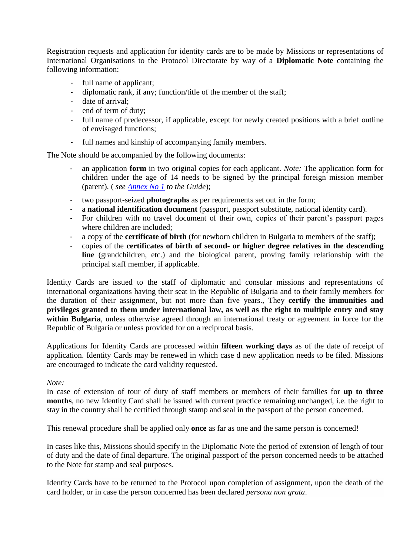Registration requests and application for identity cards are to be made by Missions or representations of International Organisations to the Protocol Directorate by way of a **Diplomatic Note** containing the following information:

- full name of applicant;
- diplomatic rank, if any; function/title of the member of the staff;
- date of arrival;
- end of term of duty;
- full name of predecessor, if applicable, except for newly created positions with a brief outline of envisaged functions;
- full names and kinship of accompanying family members.

The Note should be accompanied by the following documents:

- an application **form** in two original copies for each applicant. *Note:* The application form for children under the age of 14 needs to be signed by the principal foreign mission member (parent). ( *see [Annex No 1](http://www.mfa.bg/uploads/files/!Protokol-Guide/5-Formuliari/2017-06-29/Annex_1.pdf) to the Guide*);
- two passport-seized **photographs** as per requirements set out in the form;
- a **national identification document** (passport, passport substitute, national identity card).
- For children with no travel document of their own, copies of their parent's passport pages where children are included;
- a copy of the **certificate of birth** (for newborn children in Bulgaria to members of the staff);
- copies of the **certificates of birth of second- or higher degree relatives in the descending line** (grandchildren, etc.) and the biological parent, proving family relationship with the principal staff member, if applicable.

Identity Cards are issued to the staff of diplomatic and consular missions and representations of international organizations having their seat in the Republic of Bulgaria and to their family members for the duration of their assignment, but not more than five years., They **certify the immunities and privileges granted to them under international law, as well as the right to multiple entry and stay within Bulgaria**, unless otherwise agreed through an international treaty or agreement in force for the Republic of Bulgaria or unless provided for on a reciprocal basis.

Applications for Identity Cards are processed within **fifteen working days** as of the date of receipt of application. Identity Cards may be renewed in which case d new application needs to be filed. Missions are encouraged to indicate the card validity requested.

## *Note:*

In case of extension of tour of duty of staff members or members of their families for **up to three months**, no new Identity Card shall be issued with current practice remaining unchanged, i.e. the right to stay in the country shall be certified through stamp and seal in the passport of the person concerned.

This renewal procedure shall be applied only **once** as far as one and the same person is concerned!

In cases like this, Missions should specify in the Diplomatic Note the period of extension of length of tour of duty and the date of final departure. The original passport of the person concerned needs to be attached to the Note for stamp and seal purposes.

Identity Cards have to be returned to the Protocol upon completion of assignment, upon the death of the card holder, or in case the person concerned has been declared *persona non grata*.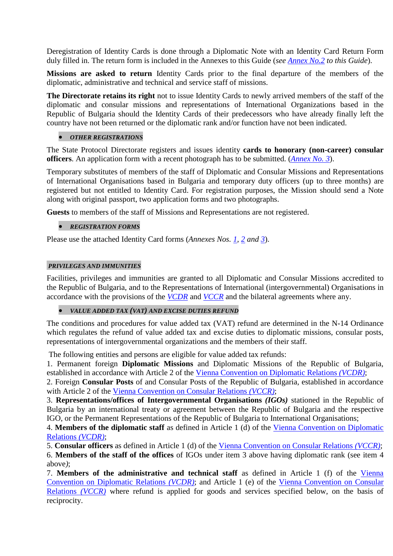Deregistration of Identity Cards is done through a Diplomatic Note with an Identity Card Return Form duly filled in. The return form is included in the Annexes to this Guide (*see [Annex No.2](http://www.mfa.bg/uploads/files/!Protokol-Guide/5-Formuliari/2017-06-29/Annex_2.pdf) to this Guide*).

**Missions are asked to return** Identity Cards prior to the final departure of the members of the diplomatic, administrative and technical and service staff of missions.

**The Directorate retains its right** not to issue Identity Cards to newly arrived members of the staff of the diplomatic and consular missions and representations of International Organizations based in the Republic of Bulgaria should the Identity Cards of their predecessors who have already finally left the country have not been returned or the diplomatic rank and/or function have not been indicated.

# *OTHER REGISTRATIONS*

The State Protocol Directorate registers and issues identity **cards to honorary (non-career) consular officers**. An application form with a recent photograph has to be submitted. (*[Annex No. 3](http://www.mfa.bg/uploads/files/!Protokol-Guide/5-Formuliari/2017-06-29/Annex_3.pdf)*).

Temporary substitutes of members of the staff of Diplomatic and Consular Missions and Representations of International Organisations based in Bulgaria and temporary duty officers (up to three months) are registered but not entitled to Identity Card. For registration purposes, the Mission should send a Note along with original passport, two application forms and two photographs.

**Guests** to members of the staff of Missions and Representations are not registered.

## *REGISTRATION FORMS*

Please use the attached Identity Card forms (*Annexes Nos. [1,](http://www.mfa.bg/uploads/files/!Protokol-Guide/5-Formuliari/2017-06-29/Annex_1.pdf) [2](http://www.mfa.bg/uploads/files/!Protokol-Guide/5-Formuliari/2017-06-29/Annex_2.pdf) and [3](http://www.mfa.bg/uploads/files/!Protokol-Guide/5-Formuliari/2017-06-29/Annex_3.pdf)*).

## *PRIVILEGES AND IMMUNITIES*

Facilities, privileges and immunities are granted to all Diplomatic and Consular Missions accredited to the Republic of Bulgaria, and to the Representations of International (intergovernmental) Organisations in accordance with the provisions of the *[VCDR](http://www.mfa.bg/uploads/files/!Protokol-Guide/4-Normativni-Aktove/01-VKDO-bg.pdf)* and *[VCCR](http://www.mfa.bg/uploads/files/!Protokol-Guide/4-Normativni-Aktove/02-VKKO-bg.pdf)* and the bilateral agreements where any.

## *VALUE ADDED TAX (VAT) AND EXCISE DUTIES REFUND*

The conditions and procedures for value added tax (VAT) refund are determined in the N-14 Ordinance which regulates the refund of value added tax and excise duties to diplomatic missions, consular posts, representations of intergovernmental organizations and the members of their staff.

The following entities and persons are eligible for value added tax refunds:

1. Permanent foreign **Diplomatic Missions** and Diplomatic Missions of the Republic of Bulgaria, established in accordance with Article 2 of the [Vienna Convention on Diplomatic Relations](http://www.mfa.bg/uploads/files/!Protokol-Guide/4-Normativni-Aktove/01-VKDO-bg.pdf) *(VCDR)*;

2. Foreign **Consular Posts** of and Consular Posts of the Republic of Bulgaria, established in accordance with Article 2 of the [Vienna Convention on Consular Relations](http://www.mfa.bg/uploads/files/!Protokol-Guide/4-Normativni-Aktove/02-VKKO-bg.pdf) *(VCCR)*;

3. **Representations/offices of Intergovernmental Organisations** *(IGOs)* stationed in the Republic of Bulgaria by an international treaty or agreement between the Republic of Bulgaria and the respective IGO, or the Permanent Representations of the Republic of Bulgaria to International Organisations;

4. **Members of the diplomatic staff** as defined in Article 1 (d) of the [Vienna Convention on Diplomatic](http://www.mfa.bg/uploads/files/!Protokol-Guide/4-Normativni-Aktove/01-VKDO-bg.pdf)  [Relations](http://www.mfa.bg/uploads/files/!Protokol-Guide/4-Normativni-Aktove/01-VKDO-bg.pdf) *(VCDR)*;

5. **Consular officers** as defined in Article 1 (d) of the [Vienna Convention on Consular Relations](http://www.mfa.bg/uploads/files/!Protokol-Guide/4-Normativni-Aktove/02-VKKO-bg.pdf) *(VCCR)*; 6. **Members of the staff of the offices** of IGOs under item 3 above having diplomatic rank (see item 4 above*)*;

7. **Members of the administrative and technical staff** as defined in Article 1 (f) of the [Vienna](http://www.mfa.bg/uploads/files/!Protokol-Guide/4-Normativni-Aktove/01-VKDO-bg.pdf)  [Convention on Diplomatic Relations](http://www.mfa.bg/uploads/files/!Protokol-Guide/4-Normativni-Aktove/01-VKDO-bg.pdf) *(VCDR)*; and Article 1 (e) of the [Vienna Convention on Consular](http://www.mfa.bg/uploads/files/!Protokol-Guide/4-Normativni-Aktove/02-VKKO-bg.pdf)  [Relations](http://www.mfa.bg/uploads/files/!Protokol-Guide/4-Normativni-Aktove/02-VKKO-bg.pdf) *(VCCR)* where refund is applied for goods and services specified below, on the basis of reciprocity.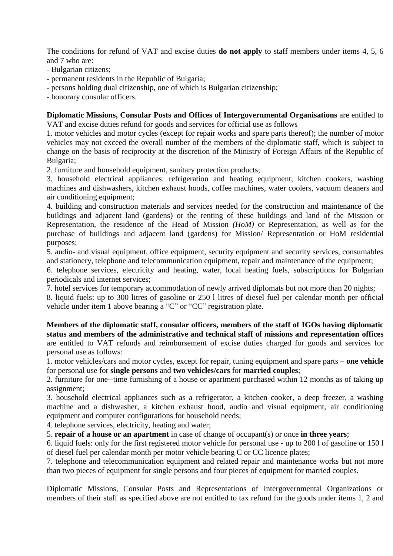The conditions for refund of VAT and excise duties **do not apply** to staff members under items 4, 5, 6 and 7 who are:

- Bulgarian citizens;
- permanent residents in the Republic of Bulgaria;
- persons holding dual citizenship, one of which is Bulgarian citizenship;
- honorary consular officers.

**Diplomatic Missions, Consular Posts and Offices of Intergovernmental Organisations** are entitled to VAT and excise duties refund for goods and services for official use as follows

1. motor vehicles and motor cycles (except for repair works and spare parts thereof); the number of motor vehicles may not exceed the overall number of the members of the diplomatic staff, which is subject to change on the basis of reciprocity at the discretion of the Ministry of Foreign Affairs of the Republic of Bulgaria;

2. furniture and household equipment, sanitary protection products;

3. household electrical appliances: refrigeration and heating equipment, kitchen cookers, washing machines and dishwashers, kitchen exhaust hoods, coffee machines, water coolers, vacuum cleaners and air conditioning equipment:

4. building and construction materials and services needed for the construction and maintenance of the buildings and adjacent land (gardens) or the renting of these buildings and land of the Mission or Representation, the residence of the Head of Mission *(HoM)* or Representation, as well as for the purchase of buildings and adjacent land (gardens) for Mission/ Representation or HoM residential purposes;

5. audio- and visual equipment, office equipment, security equipment and security services, consumables and stationery, telephone and telecommunication equipment, repair and maintenance of the equipment;

6. telephone services, electricity and heating, water, local heating fuels, subscriptions for Bulgarian periodicals and internet services;

7. hotel services for temporary accommodation of newly arrived diplomats but not more than 20 nights;

8. liquid fuels: up to 300 litres of gasoline or 250 l litres of diesel fuel per calendar month per official vehicle under item 1 above bearing a "C" or "CC" registration plate.

**Members of the diplomatic staff, consular officers, members of the staff of IGOs having diplomatic status and members of the administrative and technical staff of missions and representation offices** are entitled to VAT refunds and reimbursement of excise duties charged for goods and services for personal use as follows:

1. motor vehicles/cars and motor cycles, except for repair, tuning equipment and spare parts – **one vehicle** for personal use for **single persons** and **two vehicles/cars** for **married couples**;

2. furniture for one--time furnishing of a house or apartment purchased within 12 months as of taking up assignment;

3. household electrical appliances such as a refrigerator, a kitchen cooker, a deep freezer, a washing machine and a dishwasher, a kitchen exhaust hood, audio and visual equipment, air conditioning equipment and computer configurations for household needs;

4. telephone services, electricity, heating and water;

5. **repair of a house or an apartment** in case of change of occupant(s) or once **in three years**;

6. liquid fuels: only for the first registered motor vehicle for personal use - up to 200 l of gasoline or 150 l of diesel fuel per calendar month per motor vehicle bearing C or CC licence plates;

7. telephone and telecommunication equipment and related repair and maintenance works but not more than two pieces of equipment for single persons and four pieces of equipment for married couples.

Diplomatic Missions, Consular Posts and Representations of Intergovernmental Organizations or members of their staff as specified above are not entitled to tax refund for the goods under items 1, 2 and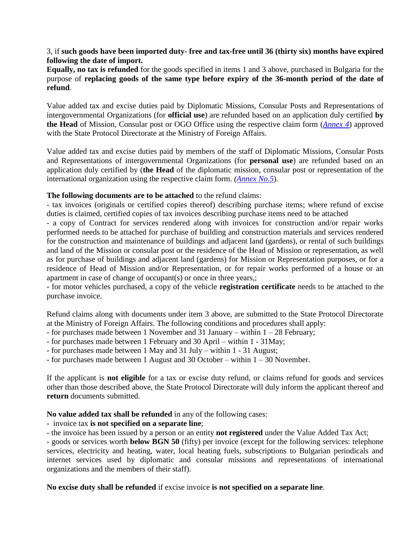3, if **such goods have been imported duty- free and tax-free until 36 (thirty six) months have expired following the date of import.**

**Equally, no tax is refunded** for the goods specified in items 1 and 3 above, purchased in Bulgaria for the purpose of **replacing goods of the same type before expiry of the 36-month period of the date of refund**.

Value added tax and excise duties paid by Diplomatic Missions, Consular Posts and Representations of intergovernmental Organizations (for **official use**) are refunded based on an application duly certified **by the Head** of Mission, Consular post or OGO Office using the respective claim form (*[Annex 4](http://www.mfa.bg/uploads/files/!Protokol-Guide/5-Formuliari/2017-06-29/Annex_4.pdf)*) approved with the State Protocol Directorate at the Ministry of Foreign Affairs.

Value added tax and excise duties paid by members of the staff of Diplomatic Missions, Consular Posts and Representations of intergovernmental Organizations (for **personal use**) are refunded based on an application duly certified by (**the Head** of the diplomatic mission, consular post or representation of the international organization using the respective claim form. *[\(Annex No.5](http://www.mfa.bg/uploads/files/!Protokol-Guide/5-Formuliari/2017-06-29/Annex_5.pdf)*).

# **The following documents are to be attached** to the refund claims:

- tax invoices (originals or certified copies thereof) describing purchase items; where refund of excise duties is claimed, certified copies of tax invoices describing purchase items need to be attached

- a copy of Contract for services rendered along with invoices for construction and/or repair works performed needs to be attached for purchase of building and construction materials and services rendered for the construction and maintenance of buildings and adjacent land (gardens), or rental of such buildings and land of the Mission or consular post or the residence of the Head of Mission or representation, as well as for purchase of buildings and adjacent land (gardens) for Mission or Representation purposes, or for a residence of Head of Mission and/or Representation, or for repair works performed of a house or an apartment in case of change of occupant(s) or once in three years,;

- for motor vehicles purchased, a copy of the vehicle **registration certificate** needs to be attached to the purchase invoice.

Refund claims along with documents under item 3 above, are submitted to the State Protocol Directorate at the Ministry of Foreign Affairs. The following conditions and procedures shall apply:

- for purchases made between 1 November and 31 January within  $1 28$  February;
- for purchases made between 1 February and 30 April within 1 31May;
- for purchases made between 1 May and 31 July within 1 31 August;

- for purchases made between 1 August and 30 October – within 1 – 30 November.

If the applicant is **not eligible** for a tax or excise duty refund, or claims refund for goods and services other than those described above, the State Protocol Directorate will duly inform the applicant thereof and **return** documents submitted.

**No value added tax shall be refunded** in any of the following cases:

- invoice tax **is not specified on a separate line**;

- the invoice has been issued by a person or an entity **not registered** under the Value Added Tax Act;

- goods or services worth **below BGN 50** (fifty) per invoice (except for the following services: telephone services, electricity and heating, water, local heating fuels, subscriptions to Bulgarian periodicals and internet services used by diplomatic and consular missions and representations of international organizations and the members of their staff).

**No excise duty shall be refunded** if excise invoice **is not specified on a separate line**.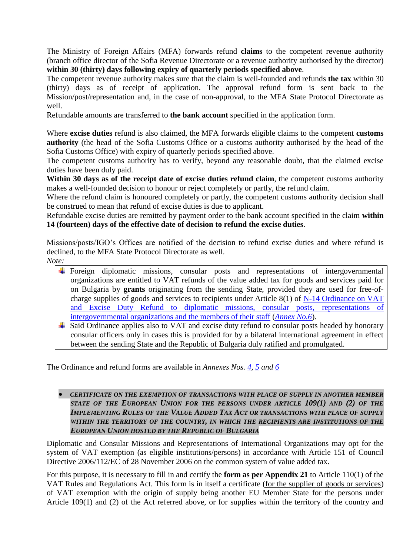The Ministry of Foreign Affairs (MFA) forwards refund **claims** to the competent revenue authority (branch office director of the Sofia Revenue Directorate or a revenue authority authorised by the director) **within 30 (thirty) days following expiry of quarterly periods specified above**.

The competent revenue authority makes sure that the claim is well-founded and refunds **the tax** within 30 (thirty) days as of receipt of application. The approval refund form is sent back to the Mission/post/representation and, in the case of non-approval, to the MFA State Protocol Directorate as well.

Refundable amounts are transferred to **the bank account** specified in the application form.

Where **excise duties** refund is also claimed, the MFA forwards eligible claims to the competent **customs authority** (the head of the Sofia Customs Office or a customs authority authorised by the head of the Sofia Customs Office) with expiry of quarterly periods specified above.

The competent customs authority has to verify, beyond any reasonable doubt, that the claimed excise duties have been duly paid.

**Within 30 days as of the receipt date of excise duties refund claim**, the competent customs authority makes a well-founded decision to honour or reject completely or partly, the refund claim.

Where the refund claim is honoured completely or partly, the competent customs authority decision shall be construed to mean that refund of excise duties is due to applicant.

Refundable excise duties are remitted by payment order to the bank account specified in the claim **within 14 (fourteen) days of the effective date of decision to refund the excise duties**.

Missions/posts/IGO's Offices are notified of the decision to refund excise duties and where refund is declined, to the MFA State Protocol Directorate as well.

- *Note:*
	- Foreign diplomatic missions, consular posts and representations of intergovernmental organizations are entitled to VAT refunds of the value added tax for goods and services paid for on Bulgaria by **grants** originating from the sending State, provided they are used for free-ofcharge supplies of goods and services to recipients under Article 8(1) of [N-14 Ordinance on VAT](http://www.mfa.bg/uploads/files/!Protokol-Guide/4-Normativni-Aktove/2017-06-29/Naredba_H_14.pdf)  [and Excise Duty Refund to diplomatic missions, consular posts,](http://www.mfa.bg/uploads/files/!Protokol-Guide/4-Normativni-Aktove/2017-06-29/Naredba_H_14.pdf) representations of [intergovernmental organizations and the members of their staff](http://www.mfa.bg/uploads/files/!Protokol-Guide/4-Normativni-Aktove/2017-06-29/Naredba_H_14.pdf) (*[Annex No.6](http://www.mfa.bg/uploads/files/!Protokol-Guide/5-Formuliari/2017-06-29/Annex_6.pdf)*).
	- $\pm$  Said Ordinance applies also to VAT and excise duty refund to consular posts headed by honorary consular officers only in cases this is provided for by a bilateral international agreement in effect between the sending State and the Republic of Bulgaria duly ratified and promulgated.

The Ordinance and refund forms are available in *Annexes Nos. [4,](http://www.mfa.bg/uploads/files/!Protokol-Guide/5-Formuliari/2017-06-29/Annex_4.pdf) [5](http://www.mfa.bg/uploads/files/!Protokol-Guide/5-Formuliari/2017-06-29/Annex_5.pdf) and [6](http://www.mfa.bg/uploads/files/!Protokol-Guide/5-Formuliari/2017-06-29/Annex_6.pdf)*

# **• CERTIFICATE ON THE EXEMPTION OF TRANSACTIONS WITH PLACE OF SUPPLY IN ANOTHER MEMBER** *STATE OF THE EUROPEAN UNION FOR THE PERSONS UNDER ARTICLE 109(1) AND (2) OF THE IMPLEMENTING RULES OF THE VALUE ADDED TAX ACT OR TRANSACTIONS WITH PLACE OF SUPPLY WITHIN THE TERRITORY OF THE COUNTRY, IN WHICH THE RECIPIENTS ARE INSTITUTIONS OF THE EUROPEAN UNION HOSTED BY THE REPUBLIC OF BULGARIA*

Diplomatic and Consular Missions and Representations of International Organizations may opt for the system of VAT exemption (as eligible institutions/persons) in accordance with Article 151 of Council Directive 2006/112/EC of 28 November 2006 on the common system of value added tax.

For this purpose, it is necessary to fill in and certify the **form as per Appendix 21** to Article 110(1) of the VAT Rules and Regulations Act. This form is in itself a certificate (for the supplier of goods or services) of VAT exemption with the origin of supply being another EU Member State for the persons under Article 109(1) and (2) of the Act referred above, or for supplies within the territory of the country and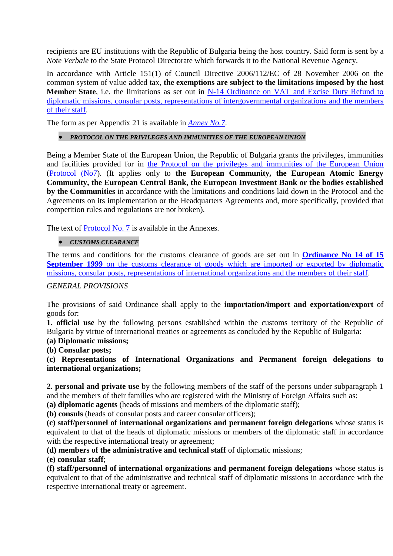recipients are EU institutions with the Republic of Bulgaria being the host country. Said form is sent by a *Note Verbale* to the State Protocol Directorate which forwards it to the National Revenue Agency.

In accordance with Article 151(1) of Council Directive 2006/112/EC of 28 November 2006 on the common system of value added tax, **the exemptions are subject to the limitations imposed by the host Member State**, i.e. the limitations as set out in [N-14 Ordinance on VAT and Excise Duty Refund to](http://www.mfa.bg/uploads/files/!Protokol-Guide/4-Normativni-Aktove/2017-06-29/Naredba_H_14.pdf)  [diplomatic missions, consular posts, representations of intergovernmental organizations and the members](http://www.mfa.bg/uploads/files/!Protokol-Guide/4-Normativni-Aktove/2017-06-29/Naredba_H_14.pdf)  [of their staff.](http://www.mfa.bg/uploads/files/!Protokol-Guide/4-Normativni-Aktove/2017-06-29/Naredba_H_14.pdf)

The form as per Appendix 21 is available in *[Annex No.7](http://www.mfa.bg/uploads/files/!Protokol-Guide/5-Formuliari/2017-06-29/Annex_7.pdf)*.

# *PROTOCOL ON THE PRIVILEGES AND IMMUNITIES OF THE EUROPEAN UNION*

Being a Member State of the European Union, the Republic of Bulgaria grants the privileges, immunities and facilities provided for in [the Protocol on the privileges and immunities of the European Union](http://www.mfa.bg/uploads/files/!Protokol-Guide/4-Normativni-Aktove/03-Prot-EU-bg-en.pdf) [\(Protocol \(No7\)](http://www.mfa.bg/uploads/files/!Protokol-Guide/4-Normativni-Aktove/03-Prot-EU-bg-en.pdf). (It applies only to **the European Community, the European Atomic Energy Community, the European Central Bank, the European Investment Bank or the bodies established by the Communities** in accordance with the limitations and conditions laid down in the Protocol and the Agreements on its implementation or the Headquarters Agreements and, more specifically, provided that competition rules and regulations are not broken).

The text of [Protocol No. 7](http://www.mfa.bg/uploads/files/!Protokol-Guide/4-Normativni-Aktove/03-Prot-EU-bg-en.pdf) is available in the Annexes.

## *CUSTOMS CLEARANCE*

The terms and conditions for the customs clearance of goods are set out in **[Ordinance No 14 of 15](http://www.mfa.bg/uploads/files/!Protokol-Guide/4-Normativni-Aktove/Regulation_14_customs.pdf)  September 1999** on the customs clearance of goods which are imported or exported by diplomatic [missions, consular posts, representations of international organizations and the members of their staff.](http://www.mfa.bg/uploads/files/!Protokol-Guide/4-Normativni-Aktove/Regulation_14_customs.pdf)

## *GENERAL PROVISIONS*

The provisions of said Ordinance shall apply to the **importation/import and exportation/export** of goods for:

**1. official use** by the following persons established within the customs territory of the Republic of Bulgaria by virtue of international treaties or agreements as concluded by the Republic of Bulgaria:

# **(a) Diplomatic missions;**

**(b) Consular posts;**

**(c) Representations of International Organizations and Permanent foreign delegations to international organizations;**

**2. personal and private use** by the following members of the staff of the persons under subparagraph 1 and the members of their families who are registered with the Ministry of Foreign Affairs such as:

**(a) diplomatic agents** (heads of missions and members of the diplomatic staff);

**(b) consuls** (heads of consular posts and career consular officers);

**(c) staff/personnel of international organizations and permanent foreign delegations** whose status is equivalent to that of the heads of diplomatic missions or members of the diplomatic staff in accordance with the respective international treaty or agreement;

**(d) members of the administrative and technical staff** of diplomatic missions;

**(e) consular staff**;

**(f) staff/personnel of international organizations and permanent foreign delegations** whose status is equivalent to that of the administrative and technical staff of diplomatic missions in accordance with the respective international treaty or agreement.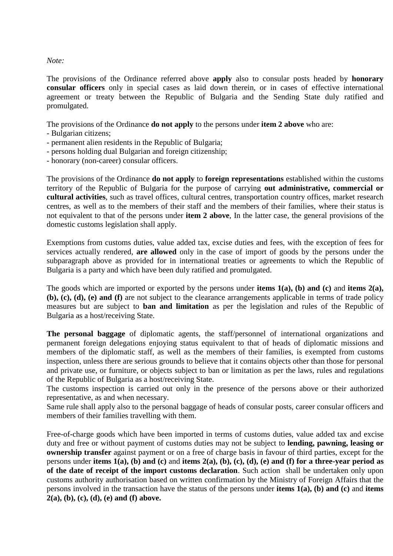## *Note:*

The provisions of the Ordinance referred above **apply** also to consular posts headed by **honorary consular officers** only in special cases as laid down therein, or in cases of effective international agreement or treaty between the Republic of Bulgaria and the Sending State duly ratified and promulgated.

The provisions of the Ordinance **do not apply** to the persons under **item 2 above** who are:

- Bulgarian citizens;
- permanent alien residents in the Republic of Bulgaria;
- persons holding dual Bulgarian and foreign citizenship;
- honorary (non-career) consular officers.

The provisions of the Ordinance **do not apply** to **foreign representations** established within the customs territory of the Republic of Bulgaria for the purpose of carrying **out administrative, commercial or cultural activities**, such as travel offices, cultural centres, transportation country offices, market research centres, as well as to the members of their staff and the members of their families, where their status is not equivalent to that of the persons under **item 2 above**, In the latter case, the general provisions of the domestic customs legislation shall apply.

Exemptions from customs duties, value added tax, excise duties and fees, with the exception of fees for services actually rendered, **are allowed** only in the case of import of goods by the persons under the subparagraph above as provided for in international treaties or agreements to which the Republic of Bulgaria is a party and which have been duly ratified and promulgated.

The goods which are imported or exported by the persons under **items 1(a), (b) and (c)** and **items 2(a), (b), (c), (d), (e) and (f)** are not subject to the clearance arrangements applicable in terms of trade policy measures but are subject to **ban and limitation** as per the legislation and rules of the Republic of Bulgaria as a host/receiving State.

**The personal baggage** of diplomatic agents, the staff/personnel of international organizations and permanent foreign delegations enjoying status equivalent to that of heads of diplomatic missions and members of the diplomatic staff, as well as the members of their families, is exempted from customs inspection, unless there are serious grounds to believe that it contains objects other than those for personal and private use, or furniture, or objects subject to ban or limitation as per the laws, rules and regulations of the Republic of Bulgaria as a host/receiving State.

The customs inspection is carried out only in the presence of the persons above or their authorized representative, as and when necessary.

Same rule shall apply also to the personal baggage of heads of consular posts, career consular officers and members of their families travelling with them.

Free-of-charge goods which have been imported in terms of customs duties, value added tax and excise duty and free or without payment of customs duties may not be subject to **lending, pawning, leasing or ownership transfer** against payment or on a free of charge basis in favour of third parties, except for the persons under **items 1(a), (b) and (c)** and **items 2(a), (b), (c), (d), (e) and (f) for a three-year period as of the date of receipt of the import customs declaration**. Such action shall be undertaken only upon customs authority authorisation based on written confirmation by the Ministry of Foreign Affairs that the persons involved in the transaction have the status of the persons under **items 1(a), (b) and (c)** and **items 2(a), (b), (c), (d), (e) and (f) above.**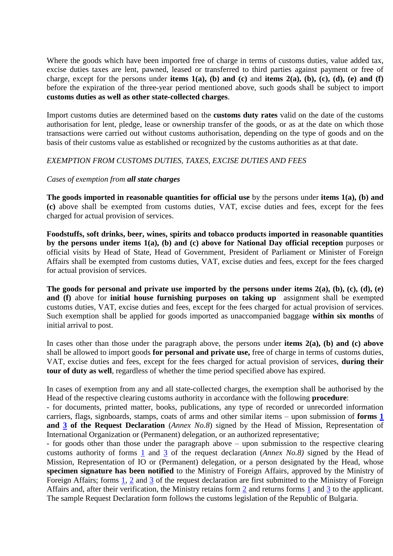Where the goods which have been imported free of charge in terms of customs duties, value added tax, excise duties taxes are lent, pawned, leased or transferred to third parties against payment or free of charge, except for the persons under **items**  $1(a)$ , (b) and (c) and **items**  $2(a)$ , (b), (c), (d), (e) and (f) before the expiration of the three-year period mentioned above, such goods shall be subject to import **customs duties as well as other state-collected charges**.

Import customs duties are determined based on the **customs duty rates** valid on the date of the customs authorisation for lent, pledge, lease or ownership transfer of the goods, or as at the date on which those transactions were carried out without customs authorisation, depending on the type of goods and on the basis of their customs value as established or recognized by the customs authorities as at that date.

## *EXEMPTION FROM CUSTOMS DUTIES, TAXES, EXCISE DUTIES AND FEES*

## *Cases of exemption from all state charges*

**The goods imported in reasonable quantities for official use** by the persons under **items 1(a), (b) and (c)** above shall be exempted from customs duties, VAT, excise duties and fees, except for the fees charged for actual provision of services.

**Foodstuffs, soft drinks, beer, wines, spirits and tobacco products imported in reasonable quantities by the persons under items 1(a), (b) and (c) above for National Day official reception** purposes or official visits by Head of State, Head of Government, President of Parliament or Minister of Foreign Affairs shall be exempted from customs duties, VAT, excise duties and fees, except for the fees charged for actual provision of services.

**The goods for personal and private use imported by the persons under items 2(a), (b), (c), (d), (e) and (f)** above for **initial house furnishing purposes on taking up** assignment shall be exempted customs duties, VAT, excise duties and fees, except for the fees charged for actual provision of services. Such exemption shall be applied for goods imported as unaccompanied baggage **within six months** of initial arrival to post.

In cases other than those under the paragraph above, the persons under **items 2(a), (b) and (c) above** shall be allowed to import goods **for personal and private use,** free of charge in terms of customs duties, VAT, excise duties and fees, except for the fees charged for actual provision of services, **during their tour of duty as well**, regardless of whether the time period specified above has expired.

In cases of exemption from any and all state-collected charges, the exemption shall be authorised by the Head of the respective clearing customs authority in accordance with the following **procedure**:

- for documents, printed matter, books, publications, any type of recorded or unrecorded information carriers, flags, signboards, stamps, coats of arms and other similar items – upon submission of **forms [1](http://www.mfa.bg/uploads/files/!Protokol-Guide/5-Formuliari/Annex_8_1.pdf) and [3](http://www.mfa.bg/uploads/files/!Protokol-Guide/5-Formuliari/Annex_8_3.pdf) of the Request Declaration** (*Annex No.8*) signed by the Head of Mission, Representation of International Organization or (Permanent) delegation, or an authorized representative;

- for goods other than those under the paragraph above – upon submission to the respective clearing customs authority of forms [1](http://www.mfa.bg/uploads/files/!Protokol-Guide/5-Formuliari/Annex_8_1.pdf) and [3](http://www.mfa.bg/uploads/files/!Protokol-Guide/5-Formuliari/Annex_8_3.pdf) of the request declaration (*Annex No.8)* signed by the Head of Mission, Representation of IO or (Permanent) delegation, or a person designated by the Head, whose **specimen signature has been notified** to the Ministry of Foreign Affairs, approved by the Ministry of Foreign Affairs; forms [1,](http://www.mfa.bg/uploads/files/!Protokol-Guide/5-Formuliari/Annex_8_1.pdf) [2](http://www.mfa.bg/uploads/files/!Protokol-Guide/5-Formuliari/Annex_8_2.pdf) and [3](http://www.mfa.bg/uploads/files/!Protokol-Guide/5-Formuliari/Annex_8_3.pdf) of the request declaration are first submitted to the Ministry of Foreign Affairs and, after their verification, the Ministry retains form [2](http://www.mfa.bg/uploads/files/!Protokol-Guide/5-Formuliari/Annex_8_2.pdf) and returns forms [1](http://www.mfa.bg/uploads/files/!Protokol-Guide/5-Formuliari/Annex_8_1.pdf) and [3](http://www.mfa.bg/uploads/files/!Protokol-Guide/5-Formuliari/Annex_8_3.pdf) to the applicant. The sample Request Declaration form follows the customs legislation of the Republic of Bulgaria.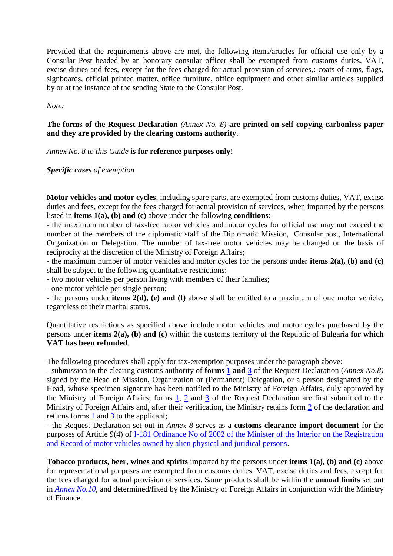Provided that the requirements above are met, the following items/articles for official use only by a Consular Post headed by an honorary consular officer shall be exempted from customs duties, VAT, excise duties and fees, except for the fees charged for actual provision of services,: coats of arms, flags, signboards, official printed matter, office furniture, office equipment and other similar articles supplied by or at the instance of the sending State to the Consular Post.

*Note:*

# **The forms of the Request Declaration** *(Annex No. 8)* **are printed on self-copying carbonless paper and they are provided by the clearing customs authority**.

*Annex No. 8 to this Guide* **is for reference purposes only!**

## *Specific cases of exemption*

**Motor vehicles and motor cycles**, including spare parts, are exempted from customs duties, VAT, excise duties and fees, except for the fees charged for actual provision of services, when imported by the persons listed in **items 1(a), (b) and (c)** above under the following **conditions**:

- the maximum number of tax-free motor vehicles and motor cycles for official use may not exceed the number of the members of the diplomatic staff of the Diplomatic Mission, Consular post, International Organization or Delegation. The number of tax-free motor vehicles may be changed on the basis of reciprocity at the discretion of the Ministry of Foreign Affairs;

- the maximum number of motor vehicles and motor cycles for the persons under **items 2(a), (b) and (c)** shall be subject to the following quantitative restrictions:

- two motor vehicles per person living with members of their families;

- one motor vehicle per single person;

- the persons under **items 2(d), (e) and (f)** above shall be entitled to a maximum of one motor vehicle, regardless of their marital status.

Quantitative restrictions as specified above include motor vehicles and motor cycles purchased by the persons under **items 2(a), (b) and (c)** within the customs territory of the Republic of Bulgaria **for which VAT has been refunded**.

The following procedures shall apply for tax-exemption purposes under the paragraph above:

- submission to the clearing customs authority of **forms [1](http://www.mfa.bg/uploads/files/!Protokol-Guide/5-Formuliari/Annex_8_1.pdf) and [3](http://www.mfa.bg/uploads/files/!Protokol-Guide/5-Formuliari/Annex_8_3.pdf)** of the Request Declaration (*Annex No.8)* signed by the Head of Mission, Organization or (Permanent) Delegation, or a person designated by the Head, whose specimen signature has been notified to the Ministry of Foreign Affairs, duly approved by the Ministry of Foreign Affairs; forms  $\frac{1}{2}$ , [2](http://www.mfa.bg/uploads/files/!Protokol-Guide/5-Formuliari/Annex_8_2.pdf) and [3](http://www.mfa.bg/uploads/files/!Protokol-Guide/5-Formuliari/Annex_8_3.pdf) of the Request Declaration are first submitted to the Ministry of Foreign Affairs and, after their verification, the Ministry retains form [2](http://www.mfa.bg/uploads/files/!Protokol-Guide/5-Formuliari/Annex_8_2.pdf) of the declaration and returns forms [1](http://www.mfa.bg/uploads/files/!Protokol-Guide/5-Formuliari/Annex_8_1.pdf) and [3](http://www.mfa.bg/uploads/files/!Protokol-Guide/5-Formuliari/Annex_8_3.pdf) to the applicant;

- the Request Declaration set out in *Annex 8* serves as a **customs clearance import document** for the purposes of Article 9(4) of  $\underline{I-181}$  Ordinance No of 2002 of the Minister of the Interior on the Registration [and Record of motor vehicles owned by alien physical and juridical persons.](http://www.mfa.bg/uploads/files/!Protokol-Guide/4-Normativni-Aktove/Nar_I_181.pdf)

**Tobacco products, beer, wines and spirits** imported by the persons under **items 1(a), (b) and (c)** above for representational purposes are exempted from customs duties, VAT, excise duties and fees, except for the fees charged for actual provision of services. Same products shall be within the **annual limits** set out in *[Annex No.10](http://www.mfa.bg/uploads/files/!Protokol-Guide/5-Formuliari/2017-06-29/Annex_10.pdf)*, and determined/fixed by the Ministry of Foreign Affairs in conjunction with the Ministry of Finance.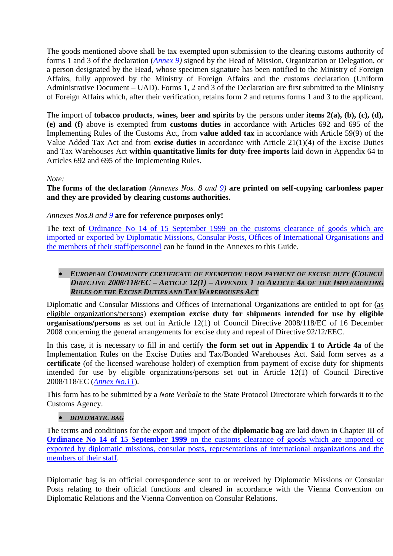The goods mentioned above shall be tax exempted upon submission to the clearing customs authority of forms 1 and 3 of the declaration (*[Annex 9\)](http://www.mfa.bg/uploads/files/!Protokol-Guide/5-Formuliari/2017-06-29/Annex_9.pdf)* signed by the Head of Mission, Organization or Delegation, or a person designated by the Head, whose specimen signature has been notified to the Ministry of Foreign Affairs, fully approved by the Ministry of Foreign Affairs and the customs declaration (Uniform Administrative Document – UAD). Forms 1, 2 and 3 of the Declaration are first submitted to the Ministry of Foreign Affairs which, after their verification, retains form 2 and returns forms 1 and 3 to the applicant.

The import of **tobacco products**, **wines, beer and spirits** by the persons under **items 2(a), (b), (c), (d), (e) and (f)** above is exempted from **customs duties** in accordance with Articles 692 and 695 of the Implementing Rules of the Customs Act, from **value added tax** in accordance with Article 59(9) of the Value Added Tax Act and from **excise duties** in accordance with Article 21(1)(4) of the Excise Duties and Tax Warehouses Act **within quantitative limits for duty-free imports** laid down in Appendix 64 to Articles 692 and 695 of the Implementing Rules.

# *Note:*

**The forms of the declaration** *(Annexes Nos. 8 and [9\)](http://www.mfa.bg/uploads/files/!Protokol-Guide/5-Formuliari/2017-06-29/Annex_9.pdf)* **are printed on self-copying carbonless paper and they are provided by clearing customs authorities.**

# *Annexes Nos.8 and [9](http://www.mfa.bg/uploads/files/!Protokol-Guide/5-Formuliari/2017-06-29/Annex_9.pdf)* **are for reference purposes only!**

The text of [Ordinance No 14 of 15 September 1999 on the customs clearance of goods which are](http://www.mfa.bg/uploads/files/!Protokol-Guide/4-Normativni-Aktove/Regulation_14_customs.pdf)  [imported or exported by Diplomatic Missions, Consular Posts, Offices of International Organisations and](http://www.mfa.bg/uploads/files/!Protokol-Guide/4-Normativni-Aktove/Regulation_14_customs.pdf)  [the members of their staff/personnel](http://www.mfa.bg/uploads/files/!Protokol-Guide/4-Normativni-Aktove/Regulation_14_customs.pdf) can be found in the Annexes to this Guide.

# **•** EUROPEAN COMMUNITY CERTIFICATE OF EXEMPTION FROM PAYMENT OF EXCISE DUTY (COUNCIL *DIRECTIVE 2008/118/EC – ARTICLE 12(1) – APPENDIX 1 TO ARTICLE 4A OF THE IMPLEMENTING RULES OF THE EXCISE DUTIES AND TAX WAREHOUSES ACT*

Diplomatic and Consular Missions and Offices of International Organizations are entitled to opt for (as eligible organizations/persons) **exemption excise duty for shipments intended for use by eligible organisations/persons** as set out in Article 12(1) of Council Directive 2008/118/EC of 16 December 2008 concerning the general arrangements for excise duty and repeal of Directive 92/12/EEC.

In this case, it is necessary to fill in and certify **the form set out in Appendix 1 to Article 4a** of the Implementation Rules on the Excise Duties and Tax/Bonded Warehouses Act. Said form serves as a **certificate** (of the licensed warehouse holder) of exemption from payment of excise duty for shipments intended for use by eligible organizations/persons set out in Article 12(1) of Council Directive 2008/118/EC (*[Annex No.11](http://www.mfa.bg/uploads/files/!Protokol-Guide/5-Formuliari/2017-06-29/Annex_11.pdf)*).

This form has to be submitted by a *Note Verbale* to the State Protocol Directorate which forwards it to the Customs Agency.

## *DIPLOMATIC BAG*

The terms and conditions for the export and import of the **diplomatic bag** are laid down in Chapter III of **Ordinance No 14 of 15 September 1999** on the customs clearance of goods which are imported or [exported by diplomatic missions, consular posts, representations of international organizations and the](http://www.mfa.bg/uploads/files/!Protokol-Guide/4-Normativni-Aktove/Regulation_14_customs.pdf)  [members of their staff.](http://www.mfa.bg/uploads/files/!Protokol-Guide/4-Normativni-Aktove/Regulation_14_customs.pdf)

Diplomatic bag is an official correspondence sent to or received by Diplomatic Missions or Consular Posts relating to their official functions and cleared in accordance with the Vienna Convention on Diplomatic Relations and the Vienna Convention on Consular Relations.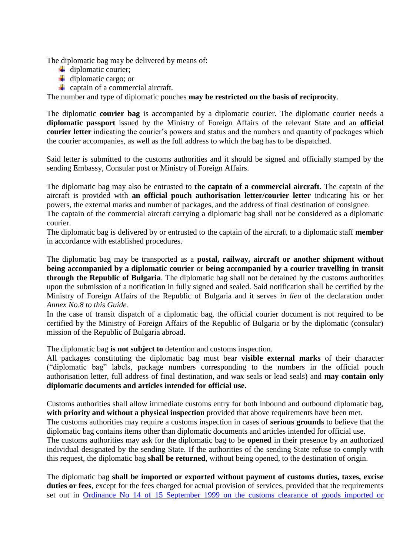The diplomatic bag may be delivered by means of:

- $\ddot{\phantom{a}}$  diplomatic courier;
- $\overline{\mathbf{u}}$  diplomatic cargo; or
- $\leftarrow$  captain of a commercial aircraft.

The number and type of diplomatic pouches **may be restricted on the basis of reciprocity**.

The diplomatic **courier bag** is accompanied by a diplomatic courier. The diplomatic courier needs a **diplomatic passport** issued by the Ministry of Foreign Affairs of the relevant State and an **official courier letter** indicating the courier's powers and status and the numbers and quantity of packages which the courier accompanies, as well as the full address to which the bag has to be dispatched.

Said letter is submitted to the customs authorities and it should be signed and officially stamped by the sending Embassy, Consular post or Ministry of Foreign Affairs.

The diplomatic bag may also be entrusted to **the captain of a commercial aircraft**. The captain of the aircraft is provided with **an official pouch authorisation letter/courier letter** indicating his or her powers, the external marks and number of packages, and the address of final destination of consignee.

The captain of the commercial aircraft carrying a diplomatic bag shall not be considered as a diplomatic courier.

The diplomatic bag is delivered by or entrusted to the captain of the aircraft to a diplomatic staff **member**  in accordance with established procedures.

The diplomatic bag may be transported as a **postal, railway, aircraft or another shipment without being accompanied by a diplomatic courier** or **being accompanied by a courier travelling in transit through the Republic of Bulgaria**. The diplomatic bag shall not be detained by the customs authorities upon the submission of a notification in fully signed and sealed. Said notification shall be certified by the Ministry of Foreign Affairs of the Republic of Bulgaria and it serves *in lieu* of the declaration under *Annex No.8 to this Guide.*

In the case of transit dispatch of a diplomatic bag, the official courier document is not required to be certified by the Ministry of Foreign Affairs of the Republic of Bulgaria or by the diplomatic (consular) mission of the Republic of Bulgaria abroad.

The diplomatic bag **is not subject to** detention and customs inspection.

All packages constituting the diplomatic bag must bear **visible external marks** of their character ("diplomatic bag" labels, package numbers corresponding to the numbers in the official pouch authorisation letter, full address of final destination, and wax seals or lead seals) and **may contain only diplomatic documents and articles intended for official use.**

Customs authorities shall allow immediate customs entry for both inbound and outbound diplomatic bag, **with priority and without a physical inspection** provided that above requirements have been met.

The customs authorities may require a customs inspection in cases of **serious grounds** to believe that the diplomatic bag contains items other than diplomatic documents and articles intended for official use.

The customs authorities may ask for the diplomatic bag to be **opened** in their presence by an authorized individual designated by the sending State. If the authorities of the sending State refuse to comply with this request, the diplomatic bag **shall be returned**, without being opened, to the destination of origin.

The diplomatic bag **shall be imported or exported without payment of customs duties, taxes, excise duties or fees**, except for the fees charged for actual provision of services, provided that the requirements set out in [Ordinance No 14 of 15 September 1999 on the customs clearance of goods imported or](http://www.mfa.bg/uploads/files/!Protokol-Guide/4-Normativni-Aktove/Regulation_14_customs.pdf)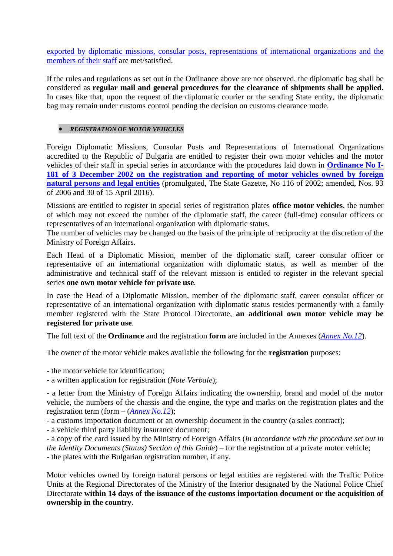[exported by diplomatic missions, consular posts, representations of international organizations and the](http://www.mfa.bg/uploads/files/!Protokol-Guide/4-Normativni-Aktove/Regulation_14_customs.pdf)  [members of their staff](http://www.mfa.bg/uploads/files/!Protokol-Guide/4-Normativni-Aktove/Regulation_14_customs.pdf) are met/satisfied.

If the rules and regulations as set out in the Ordinance above are not observed, the diplomatic bag shall be considered as **regular mail and general procedures for the clearance of shipments shall be applied.** In cases like that, upon the request of the diplomatic courier or the sending State entity, the diplomatic bag may remain under customs control pending the decision on customs clearance mode.

# *REGISTRATION OF MOTOR VEHICLES*

Foreign Diplomatic Missions, Consular Posts and Representations of International Organizations accredited to the Republic of Bulgaria are entitled to register their own motor vehicles and the motor vehicles of their staff in special series in accordance with the procedures laid down in **[Ordinance No I-](http://www.mfa.bg/uploads/files/!Protokol-Guide/4-Normativni-Aktove/Nar_I_181.pdf)[181 of 3 December 2002 on the registration and reporting of motor vehicles owned by foreign](http://www.mfa.bg/uploads/files/!Protokol-Guide/4-Normativni-Aktove/Nar_I_181.pdf)  natural persons [and legal entities](http://www.mfa.bg/uploads/files/!Protokol-Guide/4-Normativni-Aktove/Nar_I_181.pdf)** (promulgated, The State Gazette, No 116 of 2002; amended, Nos. 93 of 2006 and 30 of 15 April 2016).

Missions are entitled to register in special series of registration plates **office motor vehicles**, the number of which may not exceed the number of the diplomatic staff, the career (full-time) consular officers or representatives of an international organization with diplomatic status.

The number of vehicles may be changed on the basis of the principle of reciprocity at the discretion of the Ministry of Foreign Affairs.

Each Head of a Diplomatic Mission, member of the diplomatic staff, career consular officer or representative of an international organization with diplomatic status, as well as member of the administrative and technical staff of the relevant mission is entitled to register in the relevant special series **one own motor vehicle for private use**.

In case the Head of a Diplomatic Mission, member of the diplomatic staff, career consular officer or representative of an international organization with diplomatic status resides permanently with a family member registered with the State Protocol Directorate, **an additional own motor vehicle may be registered for private use**.

The full text of the **Ordinance** and the registration **form** are included in the Annexes (*[Annex No.12](http://www.mfa.bg/uploads/files/!Protokol-Guide/5-Formuliari/2017-06-29/Annex_12.pdf)*).

The owner of the motor vehicle makes available the following for the **registration** purposes:

- the motor vehicle for identification;

- a written application for registration (*Note Verbale*);

- a letter from the Ministry of Foreign Affairs indicating the ownership, brand and model of the motor vehicle, the numbers of the chassis and the engine, the type and marks on the registration plates and the registration term (form – (*[Annex No.12](http://www.mfa.bg/uploads/files/!Protokol-Guide/5-Formuliari/2017-06-29/Annex_12.pdf)*);

- a customs importation document or an ownership document in the country (a sales contract);

- a vehicle third party liability insurance document;

- a copy of the card issued by the Ministry of Foreign Affairs (*in accordance with the procedure set out in the Identity Documents (Status) Section of this Guide*) – for the registration of a private motor vehicle; - the plates with the Bulgarian registration number, if any.

Motor vehicles owned by foreign natural persons or legal entities are registered with the Traffic Police Units at the Regional Directorates of the Ministry of the Interior designated by the National Police Chief Directorate **within 14 days of the issuance of the customs importation document or the acquisition of ownership in the country**.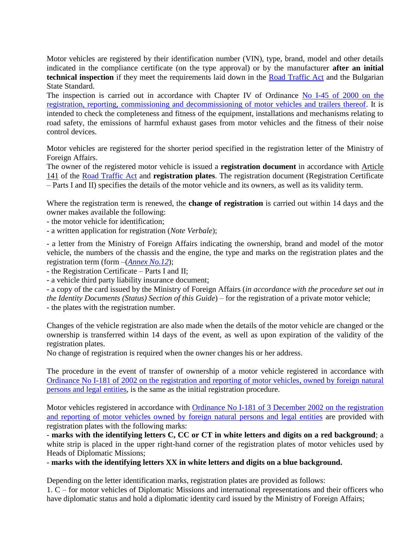Motor vehicles are registered by their identification number (VIN), type, brand, model and other details indicated in the compliance certificate (on the type approval) or by the manufacturer **after an initial technical inspection** if they meet the requirements laid down in the [Road Traffic Act](http://www.mfa.bg/uploads/files/!Protokol-Guide/4-Normativni-Aktove/09-ZDvP-bg-en.pdf) and the Bulgarian State Standard.

The inspection is carried out in accordance with Chapter IV of Ordinance [No I-45 of 2000 on the](http://www.mfa.bg/uploads/files/!Protokol-Guide/4-Normativni-Aktove/Nar_I_45.pdf)  [registration, reporting, commissioning and decommissioning of motor vehicles and trailers thereof.](http://www.mfa.bg/uploads/files/!Protokol-Guide/4-Normativni-Aktove/Nar_I_45.pdf) It is intended to check the completeness and fitness of the equipment, installations and mechanisms relating to road safety, the emissions of harmful exhaust gases from motor vehicles and the fitness of their noise control devices.

Motor vehicles are registered for the shorter period specified in the registration letter of the Ministry of Foreign Affairs.

The owner of the registered motor vehicle is issued a **registration document** in accordance with Article 141 of the [Road Traffic Act](http://www.mfa.bg/uploads/files/!Protokol-Guide/4-Normativni-Aktove/09-ZDvP-bg-en.pdf) and **registration plates**. The registration document (Registration Certificate – Parts I and II) specifies the details of the motor vehicle and its owners, as well as its validity term.

Where the registration term is renewed, the **change of registration** is carried out within 14 days and the owner makes available the following:

- the motor vehicle for identification;

- a written application for registration (*Note Verbale*);

- a letter from the Ministry of Foreign Affairs indicating the ownership, brand and model of the motor vehicle, the numbers of the chassis and the engine, the type and marks on the registration plates and the registration term (form –(*[Annex No.12](http://www.mfa.bg/uploads/files/!Protokol-Guide/5-Formuliari/2017-06-29/Annex_12.pdf)*);

- the Registration Certificate – Parts I and II;

- a vehicle third party liability insurance document;

- a copy of the card issued by the Ministry of Foreign Affairs (*in accordance with the procedure set out in the Identity Documents (Status) Section of this Guide*) – for the registration of a private motor vehicle; - the plates with the registration number.

Changes of the vehicle registration are also made when the details of the motor vehicle are changed or the ownership is transferred within 14 days of the event, as well as upon expiration of the validity of the registration plates.

No change of registration is required when the owner changes his or her address.

The procedure in the event of transfer of ownership of a motor vehicle registered in accordance with [Ordinance No I-181 of 2002 on the registration and reporting of motor vehicles,](http://www.mfa.bg/uploads/files/!Protokol-Guide/4-Normativni-Aktove/Nar_I_181.pdf) owned by foreign natural persons [and legal](http://www.mfa.bg/uploads/files/!Protokol-Guide/4-Normativni-Aktove/Nar_I_181.pdf) entities, is the same as the initial registration procedure.

Motor vehicles registered in accordance with [Ordinance No I-181 of 3 December 2002 on the registration](http://www.mfa.bg/uploads/files/!Protokol-Guide/4-Normativni-Aktove/Nar_I_181.pdf)  [and reporting of motor vehicles owned by foreign natural persons](http://www.mfa.bg/uploads/files/!Protokol-Guide/4-Normativni-Aktove/Nar_I_181.pdf) and legal entities are provided with registration plates with the following marks:

- **marks with the identifying letters C, CC or CT in white letters and digits on a red background**; a white strip is placed in the upper right-hand corner of the registration plates of motor vehicles used by Heads of Diplomatic Missions;

- **marks with the identifying letters XX in white letters and digits on a blue background.**

Depending on the letter identification marks, registration plates are provided as follows:

1. C – for motor vehicles of Diplomatic Missions and international representations and their officers who have diplomatic status and hold a diplomatic identity card issued by the Ministry of Foreign Affairs;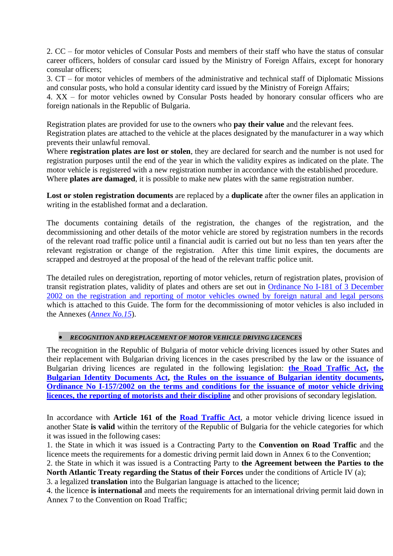2. CC – for motor vehicles of Consular Posts and members of their staff who have the status of consular career officers, holders of consular card issued by the Ministry of Foreign Affairs, except for honorary consular officers;

3. CT – for motor vehicles of members of the administrative and technical staff of Diplomatic Missions and consular posts, who hold a consular identity card issued by the Ministry of Foreign Affairs;

4. XX – for motor vehicles owned by Consular Posts headed by honorary consular officers who are foreign nationals in the Republic of Bulgaria.

Registration plates are provided for use to the owners who **pay their value** and the relevant fees. Registration plates are attached to the vehicle at the places designated by the manufacturer in a way which prevents their unlawful removal.

Where **registration plates are lost or stolen**, they are declared for search and the number is not used for registration purposes until the end of the year in which the validity expires as indicated on the plate. The motor vehicle is registered with a new registration number in accordance with the established procedure. Where **plates are damaged**, it is possible to make new plates with the same registration number.

**Lost or stolen registration documents** are replaced by a **duplicate** after the owner files an application in writing in the established format and a declaration.

The documents containing details of the registration, the changes of the registration, and the decommissioning and other details of the motor vehicle are stored by registration numbers in the records of the relevant road traffic police until a financial audit is carried out but no less than ten years after the relevant registration or change of the registration. After this time limit expires, the documents are scrapped and destroyed at the proposal of the head of the relevant traffic police unit.

The detailed rules on deregistration, reporting of motor vehicles, return of registration plates, provision of transit registration plates, validity of plates and others are set out in [Ordinance No I-181 of 3 December](http://www.mfa.bg/uploads/files/!Protokol-Guide/4-Normativni-Aktove/Nar_I_181.pdf)  [2002 on the registration and reporting of motor vehicles owned by foreign natural and legal persons](http://www.mfa.bg/uploads/files/!Protokol-Guide/4-Normativni-Aktove/Nar_I_181.pdf) which is attached to this Guide. The form for the decommissioning of motor vehicles is also included in the Annexes (*[Annex No.15](http://www.mfa.bg/uploads/files/!Protokol-Guide/5-Formuliari/Annex_15.jpg)*).

# *RECOGNITION AND REPLACEMENT OF MOTOR VEHICLE DRIVING LICENCES*

The recognition in the Republic of Bulgaria of motor vehicle driving licences issued by other States and their replacement with Bulgarian driving licences in the cases prescribed by the law or the issuance of Bulgarian driving licences are regulated in the following legislation: **[the Road Traffic Act,](http://www.mfa.bg/uploads/files/!Protokol-Guide/4-Normativni-Aktove/09-ZDvP-bg-en.pdf) [the](http://www.mfa.bg/uploads/files/!Protokol-Guide/4-Normativni-Aktove/07-ZBLD-bg-en.pdf)  [Bulgarian Identity Documents Act,](http://www.mfa.bg/uploads/files/!Protokol-Guide/4-Normativni-Aktove/07-ZBLD-bg-en.pdf) the Rules on the issuance of [Bulgarian identity documents,](http://www.mfa.bg/uploads/files/!Protokol-Guide/4-Normativni-Aktove/08-Pr-ZBLD-bg.pdf) [Ordinance No I-157/2002 on the terms and conditions for the issuance of motor vehicle driving](http://www.mfa.bg/uploads/files/!Protokol-Guide/4-Normativni-Aktove/Nar_I_157.pdf)  [licences, the reporting of motorists and their discipline](http://www.mfa.bg/uploads/files/!Protokol-Guide/4-Normativni-Aktove/Nar_I_157.pdf)** and other provisions of secondary legislation.

In accordance with **Article 161 of the [Road Traffic Act](http://www.mfa.bg/uploads/files/!Protokol-Guide/4-Normativni-Aktove/09-ZDvP-bg-en.pdf)**, a motor vehicle driving licence issued in another State **is valid** within the territory of the Republic of Bulgaria for the vehicle categories for which it was issued in the following cases:

1. the State in which it was issued is a Contracting Party to the **Convention on Road Traffic** and the licence meets the requirements for a domestic driving permit laid down in Annex 6 to the Convention;

2. the State in which it was issued is a Contracting Party to **the Agreement between the Parties to the North Atlantic Treaty regarding the Status of their Forces** under the conditions of Article IV (a);

3. a legalized **translation** into the Bulgarian language is attached to the licence;

4. the licence **is international** and meets the requirements for an international driving permit laid down in Annex 7 to the Convention on Road Traffic;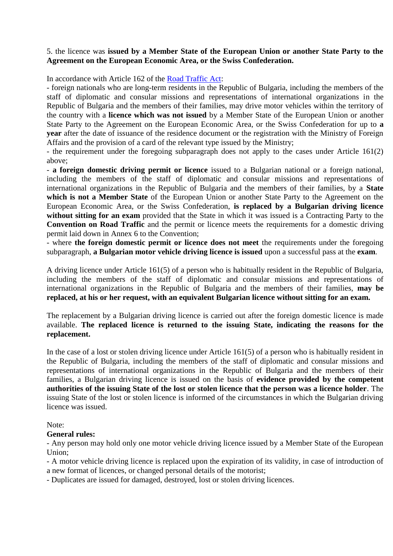# 5. the licence was **issued by a Member State of the European Union or another State Party to the Agreement on the European Economic Area, or the Swiss Confederation.**

In accordance with Article 162 of the [Road Traffic Act:](http://www.mfa.bg/uploads/files/!Protokol-Guide/4-Normativni-Aktove/09-ZDvP-bg-en.pdf)

- foreign nationals who are long-term residents in the Republic of Bulgaria, including the members of the staff of diplomatic and consular missions and representations of international organizations in the Republic of Bulgaria and the members of their families, may drive motor vehicles within the territory of the country with a **licence which was not issued** by a Member State of the European Union or another State Party to the Agreement on the European Economic Area, or the Swiss Confederation for up to **a year** after the date of issuance of the residence document or the registration with the Ministry of Foreign Affairs and the provision of a card of the relevant type issued by the Ministry;

- the requirement under the foregoing subparagraph does not apply to the cases under Article 161(2) above;

- **a foreign domestic driving permit or licence** issued to a Bulgarian national or a foreign national, including the members of the staff of diplomatic and consular missions and representations of international organizations in the Republic of Bulgaria and the members of their families, by a **State which is not a Member State** of the European Union or another State Party to the Agreement on the European Economic Area, or the Swiss Confederation, **is replaced by a Bulgarian driving licence**  without sitting for an exam provided that the State in which it was issued is a Contracting Party to the **Convention on Road Traffic** and the permit or licence meets the requirements for a domestic driving permit laid down in Annex 6 to the Convention;

- where **the foreign domestic permit or licence does not meet** the requirements under the foregoing subparagraph, **a Bulgarian motor vehicle driving licence is issued** upon a successful pass at the **exam**.

A driving licence under Article 161(5) of a person who is habitually resident in the Republic of Bulgaria, including the members of the staff of diplomatic and consular missions and representations of international organizations in the Republic of Bulgaria and the members of their families, **may be replaced, at his or her request, with an equivalent Bulgarian licence without sitting for an exam.**

The replacement by a Bulgarian driving licence is carried out after the foreign domestic licence is made available. **The replaced licence is returned to the issuing State, indicating the reasons for the replacement.**

In the case of a lost or stolen driving licence under Article 161(5) of a person who is habitually resident in the Republic of Bulgaria, including the members of the staff of diplomatic and consular missions and representations of international organizations in the Republic of Bulgaria and the members of their families, a Bulgarian driving licence is issued on the basis of **evidence provided by the competent authorities of the issuing State of the lost or stolen licence that the person was a licence holder**. The issuing State of the lost or stolen licence is informed of the circumstances in which the Bulgarian driving licence was issued.

Note:

## **General rules:**

- Any person may hold only one motor vehicle driving licence issued by a Member State of the European Union;

- A motor vehicle driving licence is replaced upon the expiration of its validity, in case of introduction of a new format of licences, or changed personal details of the motorist;

- Duplicates are issued for damaged, destroyed, lost or stolen driving licences.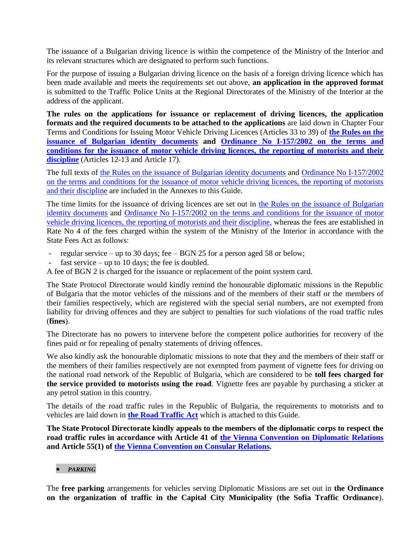The issuance of a Bulgarian driving licence is within the competence of the Ministry of the Interior and its relevant structures which are designated to perform such functions.

For the purpose of issuing a Bulgarian driving licence on the basis of a foreign driving licence which has been made available and meets the requirements set out above, **an application in the approved format** is submitted to the Traffic Police Units at the Regional Directorates of the Ministry of the Interior at the address of the applicant.

**The rules on the applications for issuance or replacement of driving licences, the application formats and the required documents to be attached to the applications** are laid down in Chapter Four Terms and Conditions for Issuing Motor Vehicle Driving Licences (Articles 33 to 39) of **[the Rules on the](http://www.mfa.bg/uploads/files/!Protokol-Guide/4-Normativni-Aktove/08-Pr-ZBLD-bg.pdf)  [issuance of Bulgarian identity documents](http://www.mfa.bg/uploads/files/!Protokol-Guide/4-Normativni-Aktove/08-Pr-ZBLD-bg.pdf) and [Ordinance No I-157/2002 on the terms and](http://www.mfa.bg/uploads/files/!Protokol-Guide/4-Normativni-Aktove/Nar_I_157.pdf)  [conditions for the issuance of motor vehicle driving licences, the reporting of motorists and their](http://www.mfa.bg/uploads/files/!Protokol-Guide/4-Normativni-Aktove/Nar_I_157.pdf)  [discipline](http://www.mfa.bg/uploads/files/!Protokol-Guide/4-Normativni-Aktove/Nar_I_157.pdf)** (Articles 12-13 and Article 17).

The full texts of [the Rules on the issuance of Bulgarian identity documents](http://www.mfa.bg/uploads/files/!Protokol-Guide/4-Normativni-Aktove/08-Pr-ZBLD-bg.pdf) and [Ordinance No I-157/2002](http://www.mfa.bg/uploads/files/!Protokol-Guide/4-Normativni-Aktove/Nar_I_157.pdf)  on [the terms and conditions for the issuance of motor vehicle driving licences, the reporting of motorists](http://www.mfa.bg/uploads/files/!Protokol-Guide/4-Normativni-Aktove/Nar_I_157.pdf)  [and their discipline](http://www.mfa.bg/uploads/files/!Protokol-Guide/4-Normativni-Aktove/Nar_I_157.pdf) are included in the Annexes to this Guide.

The time limits for the issuance of driving licences are set out in [the Rules on the issuance of Bulgarian](http://www.mfa.bg/uploads/files/!Protokol-Guide/4-Normativni-Aktove/08-Pr-ZBLD-bg.pdf)  [identity documents](http://www.mfa.bg/uploads/files/!Protokol-Guide/4-Normativni-Aktove/08-Pr-ZBLD-bg.pdf) and [Ordinance No I-157/2002 on the terms and conditions for the issuance of motor](http://www.mfa.bg/uploads/files/!Protokol-Guide/4-Normativni-Aktove/Nar_I_157.pdf)  [vehicle driving licences, the reporting of motorists and their discipline,](http://www.mfa.bg/uploads/files/!Protokol-Guide/4-Normativni-Aktove/Nar_I_157.pdf) whereas the fees are established in Rate No 4 of the fees charged within the system of the Ministry of the Interior in accordance with the State Fees Act as follows:

- regular service up to 30 days; fee BGN 25 for a person aged 58 or below;
- fast service up to 10 days; the fee is doubled.

A fee of BGN 2 is charged for the issuance or replacement of the point system card.

The State Protocol Directorate would kindly remind the honourable diplomatic missions in the Republic of Bulgaria that the motor vehicles of the missions and of the members of their staff or the members of their families respectively, which are registered with the special serial numbers, are not exempted from liability for driving offences and they are subject to penalties for such violations of the road traffic rules (**fines**).

The Directorate has no powers to intervene before the competent police authorities for recovery of the fines paid or for repealing of penalty statements of driving offences.

We also kindly ask the honourable diplomatic missions to note that they and the members of their staff or the members of their families respectively are not exempted from payment of vignette fees for driving on the national road network of the Republic of Bulgaria, which are considered to be **toll fees charged for the service provided to motorists using the road**. Vignette fees are payable by purchasing a sticker at any petrol station in this country.

The details of the road traffic rules in the Republic of Bulgaria, the requirements to motorists and to vehicles are laid down in **[the Road Traffic Act](http://www.mfa.bg/uploads/files/!Protokol-Guide/4-Normativni-Aktove/09-ZDvP-bg-en.pdf)** which is attached to this Guide.

**The State Protocol Directorate kindly appeals to the members of the diplomatic corps to respect the road traffic rules in accordance with Article 41 of [the Vienna Convention on Diplomatic Relations](http://www.mfa.bg/uploads/files/!Protokol-Guide/4-Normativni-Aktove/01-VKDO-bg.pdf) and Article 55(1) of [the Vienna Convention on Consular Relations.](http://www.mfa.bg/uploads/files/!Protokol-Guide/4-Normativni-Aktove/02-VKKO-bg.pdf)**

## *PARKING*

The **free parking** arrangements for vehicles serving Diplomatic Missions are set out in **the Ordinance on the organization of traffic in the Capital City Municipality (the Sofia Traffic Ordinance**).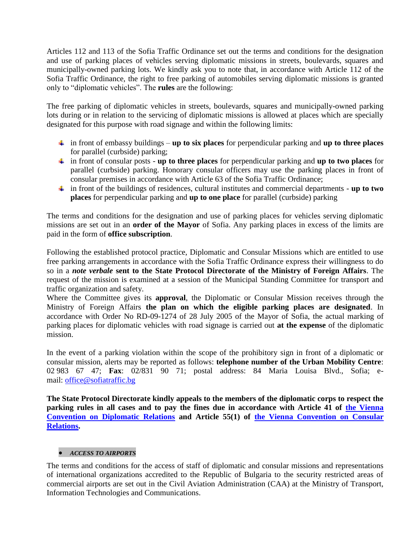Articles 112 and 113 of the Sofia Traffic Ordinance set out the terms and conditions for the designation and use of parking places of vehicles serving diplomatic missions in streets, boulevards, squares and municipally-owned parking lots. We kindly ask you to note that, in accordance with Article 112 of the Sofia Traffic Ordinance, the right to free parking of automobiles serving diplomatic missions is granted only to "diplomatic vehicles". The **rules** are the following:

The free parking of diplomatic vehicles in streets, boulevards, squares and municipally-owned parking lots during or in relation to the servicing of diplomatic missions is allowed at places which are specially designated for this purpose with road signage and within the following limits:

- in front of embassy buildings **up to six places** for perpendicular parking and **up to three places** for parallel (curbside) parking;
- in front of consular posts **up to three places** for perpendicular parking and **up to two places** for parallel (curbside) parking. Honorary consular officers may use the parking places in front of consular premises in accordance with Article 63 of the Sofia Traffic Ordinance;
- in front of the buildings of residences, cultural institutes and commercial departments **up to two places** for perpendicular parking and **up to one place** for parallel (curbside) parking

The terms and conditions for the designation and use of parking places for vehicles serving diplomatic missions are set out in an **order of the Mayor** of Sofia. Any parking places in excess of the limits are paid in the form of **office subscription**.

Following the established protocol practice, Diplomatic and Consular Missions which are entitled to use free parking arrangements in accordance with the Sofia Traffic Ordinance express their willingness to do so in a *note verbale* **sent to the State Protocol Directorate of the Ministry of Foreign Affairs**. The request of the mission is examined at a session of the Municipal Standing Committee for transport and traffic organization and safety.

Where the Committee gives its **approval**, the Diplomatic or Consular Mission receives through the Ministry of Foreign Affairs **the plan on which the eligible parking places are designated**. In accordance with Order No RD-09-1274 of 28 July 2005 of the Mayor of Sofia, the actual marking of parking places for diplomatic vehicles with road signage is carried out **at the expense** of the diplomatic mission.

In the event of a parking violation within the scope of the prohibitory sign in front of a diplomatic or consular mission, alerts may be reported as follows: **telephone number of the Urban Mobility Centre**: 02 983 67 47; **Fax**: 02/831 90 71; postal address: 84 Maria Louisa Blvd., Sofia; email: [office@sofiatraffic.bg](mailto:office@sofiatraffic.bg)

**The State Protocol Directorate kindly appeals to the members of the diplomatic corps to respect the**  parking rules in all cases and to pay the fines due in accordance with Article 41 of the Vienna **[Convention on Diplomatic Relations](http://www.mfa.bg/uploads/files/!Protokol-Guide/4-Normativni-Aktove/01-VKDO-bg.pdf) and Article 55(1) of [the Vienna Convention on Consular](http://www.mfa.bg/uploads/files/!Protokol-Guide/4-Normativni-Aktove/02-VKKO-bg.pdf) [Relations.](http://www.mfa.bg/uploads/files/!Protokol-Guide/4-Normativni-Aktove/02-VKKO-bg.pdf)**

# *ACCESS TO AIRPORTS*

The terms and conditions for the access of staff of diplomatic and consular missions and representations of international organizations accredited to the Republic of Bulgaria to the security restricted areas of commercial airports are set out in the Civil Aviation Administration (CAA) at the Ministry of Transport, Information Technologies and Communications.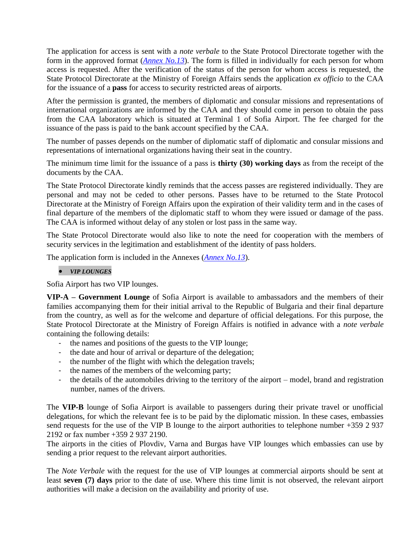The application for access is sent with a *note verbale* to the State Protocol Directorate together with the form in the approved format (*[Annex No.13](http://www.mfa.bg/uploads/files/!Protokol-Guide/5-Formuliari/2017-06-29/Annex_13.pdf)*). The form is filled in individually for each person for whom access is requested. After the verification of the status of the person for whom access is requested, the State Protocol Directorate at the Ministry of Foreign Affairs sends the application *ex officio* to the CAA for the issuance of a **pass** for access to security restricted areas of airports.

After the permission is granted, the members of diplomatic and consular missions and representations of international organizations are informed by the CAA and they should come in person to obtain the pass from the CAA laboratory which is situated at Terminal 1 of Sofia Airport. The fee charged for the issuance of the pass is paid to the bank account specified by the CAA.

The number of passes depends on the number of diplomatic staff of diplomatic and consular missions and representations of international organizations having their seat in the country.

The minimum time limit for the issuance of a pass is **thirty (30) working days** as from the receipt of the documents by the CAA.

The State Protocol Directorate kindly reminds that the access passes are registered individually. They are personal and may not be ceded to other persons. Passes have to be returned to the State Protocol Directorate at the Ministry of Foreign Affairs upon the expiration of their validity term and in the cases of final departure of the members of the diplomatic staff to whom they were issued or damage of the pass. The CAA is informed without delay of any stolen or lost pass in the same way.

The State Protocol Directorate would also like to note the need for cooperation with the members of security services in the legitimation and establishment of the identity of pass holders.

The application form is included in the Annexes (*[Annex No.13](http://www.mfa.bg/uploads/files/!Protokol-Guide/5-Formuliari/2017-06-29/Annex_13.pdf)*).

#### *VIP LOUNGES*

Sofia Airport has two VIP lounges.

**VIP-A – Government Lounge** of Sofia Airport is available to ambassadors and the members of their families accompanying them for their initial arrival to the Republic of Bulgaria and their final departure from the country, as well as for the welcome and departure of official delegations. For this purpose, the State Protocol Directorate at the Ministry of Foreign Affairs is notified in advance with a *note verbale* containing the following details:

- $\frac{1}{2}$  the names and positions of the guests to the VIP lounge;
- the date and hour of arrival or departure of the delegation;
- the number of the flight with which the delegation travels;
- the names of the members of the welcoming party;
- the details of the automobiles driving to the territory of the airport model, brand and registration number, names of the drivers.

The **VIP-B** lounge of Sofia Airport is available to passengers during their private travel or unofficial delegations, for which the relevant fee is to be paid by the diplomatic mission. In these cases, embassies send requests for the use of the VIP B lounge to the airport authorities to telephone number +359 2 937 2192 or fax number +359 2 937 2190.

The airports in the cities of Plovdiv, Varna and Burgas have VIP lounges which embassies can use by sending a prior request to the relevant airport authorities.

The *Note Verbale* with the request for the use of VIP lounges at commercial airports should be sent at least **seven (7) days** prior to the date of use. Where this time limit is not observed, the relevant airport authorities will make a decision on the availability and priority of use.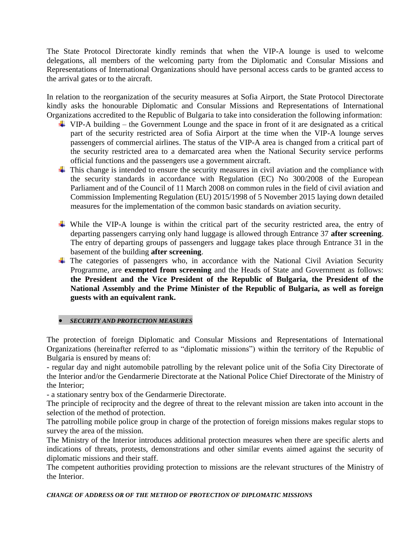The State Protocol Directorate kindly reminds that when the VIP-A lounge is used to welcome delegations, all members of the welcoming party from the Diplomatic and Consular Missions and Representations of International Organizations should have personal access cards to be granted access to the arrival gates or to the aircraft.

In relation to the reorganization of the security measures at Sofia Airport, the State Protocol Directorate kindly asks the honourable Diplomatic and Consular Missions and Representations of International Organizations accredited to the Republic of Bulgaria to take into consideration the following information:

- $\overline{\text{H}}$  VIP-A building the Government Lounge and the space in front of it are designated as a critical part of the security restricted area of Sofia Airport at the time when the VIP-A lounge serves passengers of commercial airlines. The status of the VIP-A area is changed from a critical part of the security restricted area to a demarcated area when the National Security service performs official functions and the passengers use a government aircraft.
- $\pm$  This change is intended to ensure the security measures in civil aviation and the compliance with the security standards in accordance with Regulation (EC) No 300/2008 of the European Parliament and of the Council of 11 March 2008 on common rules in the field of civil aviation and Commission Implementing Regulation (EU) 2015/1998 of 5 November 2015 laying down detailed measures for the implementation of the common basic standards on aviation security.
- While the VIP-A lounge is within the critical part of the security restricted area, the entry of departing passengers carrying only hand luggage is allowed through Entrance 37 **after screening**. The entry of departing groups of passengers and luggage takes place through Entrance 31 in the basement of the building **after screening**.
- $\overline{\text{F}}$  The categories of passengers who, in accordance with the National Civil Aviation Security Programme, are **exempted from screening** and the Heads of State and Government as follows: **the President and the Vice President of the Republic of Bulgaria, the President of the National Assembly and the Prime Minister of the Republic of Bulgaria, as well as foreign guests with an equivalent rank.**

## *SECURITY AND PROTECTION MEASURES*

The protection of foreign Diplomatic and Consular Missions and Representations of International Organizations (hereinafter referred to as "diplomatic missions") within the territory of the Republic of Bulgaria is ensured by means of:

- regular day and night automobile patrolling by the relevant police unit of the Sofia City Directorate of the Interior and/or the Gendarmerie Directorate at the National Police Chief Directorate of the Ministry of the Interior;

- a stationary sentry box of the Gendarmerie Directorate.

The principle of reciprocity and the degree of threat to the relevant mission are taken into account in the selection of the method of protection.

The patrolling mobile police group in charge of the protection of foreign missions makes regular stops to survey the area of the mission.

The Ministry of the Interior introduces additional protection measures when there are specific alerts and indications of threats, protests, demonstrations and other similar events aimed against the security of diplomatic missions and their staff.

The competent authorities providing protection to missions are the relevant structures of the Ministry of the Interior.

*CHANGE OF ADDRESS OR OF THE METHOD OF PROTECTION OF DIPLOMATIC MISSIONS*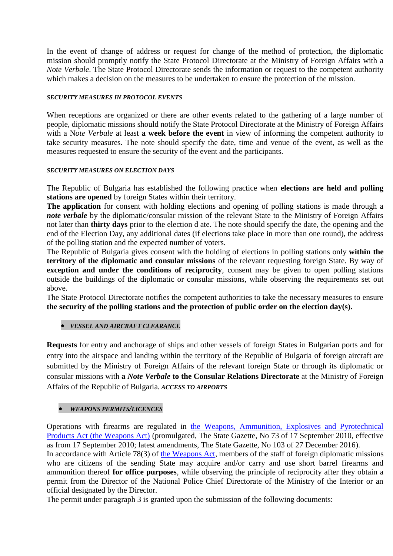In the event of change of address or request for change of the method of protection, the diplomatic mission should promptly notify the State Protocol Directorate at the Ministry of Foreign Affairs with a *Note Verbale*. The State Protocol Directorate sends the information or request to the competent authority which makes a decision on the measures to be undertaken to ensure the protection of the mission.

# *SECURITY MEASURES IN PROTOCOL EVENTS*

When receptions are organized or there are other events related to the gathering of a large number of people, diplomatic missions should notify the State Protocol Directorate at the Ministry of Foreign Affairs with a N*ote Verbale* at least **a week before the event** in view of informing the competent authority to take security measures. The note should specify the date, time and venue of the event, as well as the measures requested to ensure the security of the event and the participants.

## *SECURITY MEASURES ON ELECTION DAYS*

The Republic of Bulgaria has established the following practice when **elections are held and polling stations are opened** by foreign States within their territory.

**The application** for consent with holding elections and opening of polling stations is made through a *note verbale* by the diplomatic/consular mission of the relevant State to the Ministry of Foreign Affairs not later than **thirty days** prior to the election d ate. The note should specify the date, the opening and the end of the Election Day, any additional dates (if elections take place in more than one round), the address of the polling station and the expected number of voters.

The Republic of Bulgaria gives consent with the holding of elections in polling stations only **within the territory of the diplomatic and consular missions** of the relevant requesting foreign State. By way of **exception and under the conditions of reciprocity**, consent may be given to open polling stations outside the buildings of the diplomatic or consular missions, while observing the requirements set out above.

The State Protocol Directorate notifies the competent authorities to take the necessary measures to ensure **the security of the polling stations and the protection of public order on the election day(s).**

## *VESSEL AND AIRCRAFT CLEARANCE*

**Requests** for entry and anchorage of ships and other vessels of foreign States in Bulgarian ports and for entry into the airspace and landing within the territory of the Republic of Bulgaria of foreign aircraft are submitted by the Ministry of Foreign Affairs of the relevant foreign State or through its diplomatic or consular missions with **a** *Note Verbale* **to the Consular Relations Directorate** at the Ministry of Foreign Affairs of the Republic of Bulgaria. *ACCESS TO AIRPORTS*

## *WEAPONS PERMITS/LICENCES*

Operations with firearms are regulated in [the Weapons, Ammunition, Explosives and Pyrotechnical](http://www.mfa.bg/uploads/files/!Protokol-Guide/4-Normativni-Aktove/2017-06-29/01-VKDO-bg.pdf)  [Products Act \(the Weapons Act\)](http://www.mfa.bg/uploads/files/!Protokol-Guide/4-Normativni-Aktove/2017-06-29/01-VKDO-bg.pdf) (promulgated, The State Gazette, No 73 of 17 September 2010, effective as from 17 September 2010; latest amendments, The State Gazette, No 103 of 27 December 2016).

In accordance with Article 78(3) of [the Weapons Act,](http://www.mfa.bg/uploads/files/!Protokol-Guide/4-Normativni-Aktove/2017-06-29/01-VKDO-bg.pdf) members of the staff of foreign diplomatic missions who are citizens of the sending State may acquire and/or carry and use short barrel firearms and ammunition thereof **for office purposes**, while observing the principle of reciprocity after they obtain a permit from the Director of the National Police Chief Directorate of the Ministry of the Interior or an official designated by the Director.

The permit under paragraph 3 is granted upon the submission of the following documents: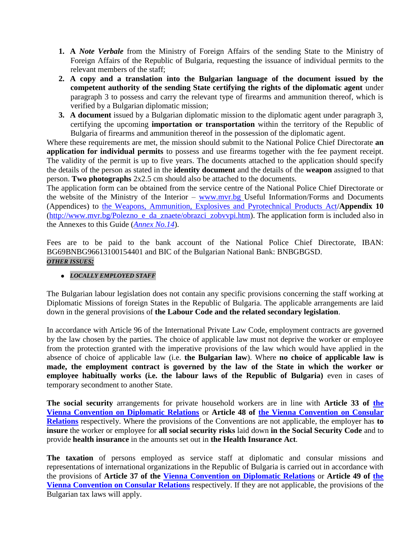- **1. A** *Note Verbale* from the Ministry of Foreign Affairs of the sending State to the Ministry of Foreign Affairs of the Republic of Bulgaria, requesting the issuance of individual permits to the relevant members of the staff;
- **2. A copy and a translation into the Bulgarian language of the document issued by the competent authority of the sending State certifying the rights of the diplomatic agent** under paragraph 3 to possess and carry the relevant type of firearms and ammunition thereof, which is verified by a Bulgarian diplomatic mission;
- **3. A document** issued by a Bulgarian diplomatic mission to the diplomatic agent under paragraph 3, certifying the upcoming **importation or transportation** within the territory of the Republic of Bulgaria of firearms and ammunition thereof in the possession of the diplomatic agent.

Where these requirements are met, the mission should submit to the National Police Chief Directorate **an application for individual permits** to possess and use firearms together with the fee payment receipt. The validity of the permit is up to five years. The documents attached to the application should specify the details of the person as stated in the **identity document** and the details of the **weapon** assigned to that person. **Two photographs** 2x2.5 cm should also be attached to the documents.

The application form can be obtained from the service centre of the National Police Chief Directorate or the website of the Ministry of the Interior – [www.mvr.bg](http://www.mvr.bg/) Useful Information/Forms and Documents (Appendices) to [the Weapons, Ammunition, Explosives and Pyrotechnical Products Act/](http://www.mfa.bg/uploads/files/!Protokol-Guide/4-Normativni-Aktove/2017-06-29/01-VKDO-bg.pdf)**Appendix 10** [\(http://www.mvr.bg/Polezno\\_e\\_da\\_znaete/obrazci\\_zobvvpi.htm\)](http://www.mvr.bg/Polezno_e_da_znaete/obrazci_zobvvpi.htm). The application form is included also in the Annexes to this Guide (*[Annex](http://www.mfa.bg/uploads/files/!Protokol-Guide/5-Formuliari/2017-06-29/Annex_14.pdf) No.14*).

Fees are to be paid to the bank account of the National Police Chief Directorate, IBAN: BG69BNBG96613100154401 and BIC of the Bulgarian National Bank: BNBGBGSD. *OTHER ISSUES:*

# *LOCALLY EMPLOYED STAFF*

The Bulgarian labour legislation does not contain any specific provisions concerning the staff working at Diplomatic Missions of foreign States in the Republic of Bulgaria. The applicable arrangements are laid down in the general provisions of **the Labour Code and the related secondary legislation**.

In accordance with Article 96 of the International Private Law Code, employment contracts are governed by the law chosen by the parties. The choice of applicable law must not deprive the worker or employee from the protection granted with the imperative provisions of the law which would have applied in the absence of choice of applicable law (i.e. **the Bulgarian law**). Where **no choice of applicable law is made, the employment contract is governed by the law of the State in which the worker or**  employee habitually works (i.e. the labour laws of the Republic of Bulgaria) even in cases of temporary secondment to another State.

**The social security** arrangements for private household workers are in line with **Article 33 of [the](http://www.mfa.bg/uploads/files/!Protokol-Guide/4-Normativni-Aktove/01-VKDO-bg.pdf)  [Vienna Convention on Diplomatic Relations](http://www.mfa.bg/uploads/files/!Protokol-Guide/4-Normativni-Aktove/01-VKDO-bg.pdf)** or **Article 48 of [the Vienna Convention on Consular](http://www.mfa.bg/uploads/files/!Protokol-Guide/4-Normativni-Aktove/02-VKKO-bg.pdf)  [Relations](http://www.mfa.bg/uploads/files/!Protokol-Guide/4-Normativni-Aktove/02-VKKO-bg.pdf)** respectively. Where the provisions of the Conventions are not applicable, the employer has **to insure** the worker or employee for **all social security risks** laid down **in the Social Security Code** and to provide **health insurance** in the amounts set out in **the Health Insurance Act**.

**The taxation** of persons employed as service staff at diplomatic and consular missions and representations of international organizations in the Republic of Bulgaria is carried out in accordance with the provisions of **Article 37 of the [Vienna Convention on Diplomatic Relations](http://www.mfa.bg/uploads/files/!Protokol-Guide/4-Normativni-Aktove/01-VKDO-bg.pdf)** or **Article 49 of [the](http://www.mfa.bg/uploads/files/!Protokol-Guide/4-Normativni-Aktove/02-VKKO-bg.pdf)  [Vienna Convention on Consular Relations](http://www.mfa.bg/uploads/files/!Protokol-Guide/4-Normativni-Aktove/02-VKKO-bg.pdf)** respectively. If they are not applicable, the provisions of the Bulgarian tax laws will apply.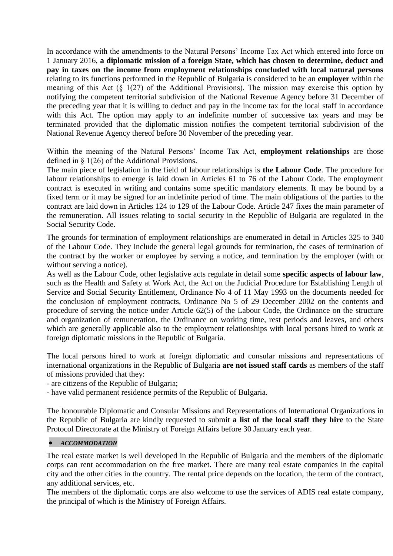In accordance with the amendments to the Natural Persons' Income Tax Act which entered into force on 1 January 2016, **a diplomatic mission of a foreign State, which has chosen to determine, deduct and pay in taxes on the income from employment relationships concluded with local natural persons** relating to its functions performed in the Republic of Bulgaria is considered to be an **employer** within the meaning of this Act (§ 1(27) of the Additional Provisions). The mission may exercise this option by notifying the competent territorial subdivision of the National Revenue Agency before 31 December of the preceding year that it is willing to deduct and pay in the income tax for the local staff in accordance with this Act. The option may apply to an indefinite number of successive tax years and may be terminated provided that the diplomatic mission notifies the competent territorial subdivision of the National Revenue Agency thereof before 30 November of the preceding year.

Within the meaning of the Natural Persons' Income Tax Act, **employment relationships** are those defined in § 1(26) of the Additional Provisions.

The main piece of legislation in the field of labour relationships is **the Labour Code**. The procedure for labour relationships to emerge is laid down in Articles 61 to 76 of the Labour Code. The employment contract is executed in writing and contains some specific mandatory elements. It may be bound by a fixed term or it may be signed for an indefinite period of time. The main obligations of the parties to the contract are laid down in Articles 124 to 129 of the Labour Code. Article 247 fixes the main parameter of the remuneration. All issues relating to social security in the Republic of Bulgaria are regulated in the Social Security Code.

The grounds for termination of employment relationships are enumerated in detail in Articles 325 to 340 of the Labour Code. They include the general legal grounds for termination, the cases of termination of the contract by the worker or employee by serving a notice, and termination by the employer (with or without serving a notice).

As well as the Labour Code, other legislative acts regulate in detail some **specific aspects of labour law**, such as the Health and Safety at Work Act, the Act on the Judicial Procedure for Establishing Length of Service and Social Security Entitlement, Ordinance No 4 of 11 May 1993 on the documents needed for the conclusion of employment contracts, Ordinance No 5 of 29 December 2002 on the contents and procedure of serving the notice under Article 62(5) of the Labour Code, the Ordinance on the structure and organization of remuneration, the Ordinance on working time, rest periods and leaves, and others which are generally applicable also to the employment relationships with local persons hired to work at foreign diplomatic missions in the Republic of Bulgaria.

The local persons hired to work at foreign diplomatic and consular missions and representations of international organizations in the Republic of Bulgaria **are not issued staff cards** as members of the staff of missions provided that they:

- are citizens of the Republic of Bulgaria;

- have valid permanent residence permits of the Republic of Bulgaria.

The honourable Diplomatic and Consular Missions and Representations of International Organizations in the Republic of Bulgaria are kindly requested to submit **a list of the local staff they hire** to the State Protocol Directorate at the Ministry of Foreign Affairs before 30 January each year.

## *ACCOMMODATION*

The real estate market is well developed in the Republic of Bulgaria and the members of the diplomatic corps can rent accommodation on the free market. There are many real estate companies in the capital city and the other cities in the country. The rental price depends on the location, the term of the contract, any additional services, etc.

The members of the diplomatic corps are also welcome to use the services of ADIS real estate company, the principal of which is the Ministry of Foreign Affairs.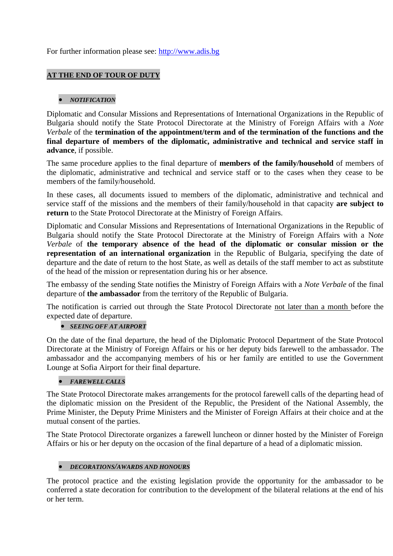For further information please see: [http://www.adis.bg](http://www.adis.bg/)

# **AT THE END OF TOUR OF DUTY**

# *NOTIFICATION*

Diplomatic and Consular Missions and Representations of International Organizations in the Republic of Bulgaria should notify the State Protocol Directorate at the Ministry of Foreign Affairs with a *Note Verbale* of the **termination of the appointment/term and of the termination of the functions and the final departure of members of the diplomatic, administrative and technical and service staff in advance**, if possible.

The same procedure applies to the final departure of **members of the family/household** of members of the diplomatic, administrative and technical and service staff or to the cases when they cease to be members of the family/household.

In these cases, all documents issued to members of the diplomatic, administrative and technical and service staff of the missions and the members of their family/household in that capacity **are subject to return** to the State Protocol Directorate at the Ministry of Foreign Affairs.

Diplomatic and Consular Missions and Representations of International Organizations in the Republic of Bulgaria should notify the State Protocol Directorate at the Ministry of Foreign Affairs with a N*ote Verbale* of **the temporary absence of the head of the diplomatic or consular mission or the representation of an international organization** in the Republic of Bulgaria, specifying the date of departure and the date of return to the host State, as well as details of the staff member to act as substitute of the head of the mission or representation during his or her absence.

The embassy of the sending State notifies the Ministry of Foreign Affairs with a *Note Verbale* of the final departure of **the ambassador** from the territory of the Republic of Bulgaria.

The notification is carried out through the State Protocol Directorate not later than a month before the expected date of departure.

## *SEEING OFF AT AIRPORT*

On the date of the final departure, the head of the Diplomatic Protocol Department of the State Protocol Directorate at the Ministry of Foreign Affairs or his or her deputy bids farewell to the ambassador. The ambassador and the accompanying members of his or her family are entitled to use the Government Lounge at Sofia Airport for their final departure.

# *FAREWELL CALLS*

The State Protocol Directorate makes arrangements for the protocol farewell calls of the departing head of the diplomatic mission on the President of the Republic, the President of the National Assembly, the Prime Minister, the Deputy Prime Ministers and the Minister of Foreign Affairs at their choice and at the mutual consent of the parties.

The State Protocol Directorate organizes a farewell luncheon or dinner hosted by the Minister of Foreign Affairs or his or her deputy on the occasion of the final departure of a head of a diplomatic mission.

## *DECORATIONS/AWARDS AND HONOURS*

The protocol practice and the existing legislation provide the opportunity for the ambassador to be conferred a state decoration for contribution to the development of the bilateral relations at the end of his or her term.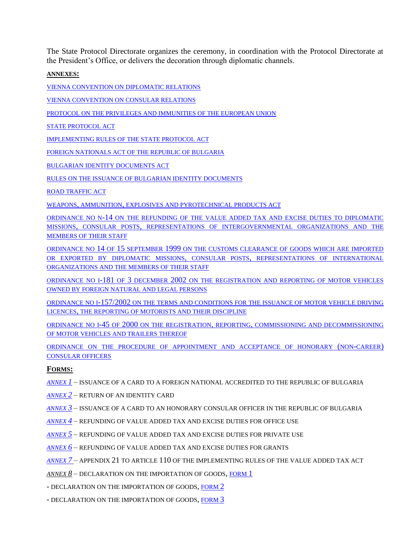The State Protocol Directorate organizes the ceremony, in coordination with the Protocol Directorate at the President's Office, or delivers the decoration through diplomatic channels.

#### **ANNEXES:**

[VIENNA CONVENTION ON](http://www.mfa.bg/uploads/files/!Protokol-Guide/4-Normativni-Aktove/01-VKDO-bg.pdf) DIPLOMATIC RELATIONS

[VIENNA CONVENTION ON](http://www.mfa.bg/uploads/files/!Protokol-Guide/4-Normativni-Aktove/02-VKKO-bg.pdf) CONSULAR RELATIONS

[PROTOCOL ON THE PRIVILEGES AND IMMUNITIES OF THE EUROPEAN UNION](http://www.mfa.bg/uploads/files/!Protokol-Guide/4-Normativni-Aktove/03-Prot-EU-bg-en.pdf)

[STATE PROTOCOL ACT](http://www.mfa.bg/uploads/files/!Protokol-Guide/4-Normativni-Aktove/04-ZDP-bg-en.pdf)

[IMPLEMENTING RULES OF THE STATE PROTOCOL](http://www.mfa.bg/uploads/files/!Protokol-Guide/4-Normativni-Aktove/05-Pr-ZDP-bg.pdf) ACT

[FOREIGN NATIONALS ACT OF THE REPUBLIC OF](http://www.mfa.bg/uploads/files/!Protokol-Guide/4-Normativni-Aktove/06-Foreigners-Act-bg-en.pdf) BULGARIA

[BULGARIAN IDENTITY DOCUMENTS ACT](http://www.mfa.bg/uploads/files/!Protokol-Guide/4-Normativni-Aktove/07-ZBLD-bg-en.pdf)

[RULES ON THE ISSUANCE OF BULGARIAN IDENTITY DOCUMENTS](http://www.mfa.bg/uploads/files/!Protokol-Guide/4-Normativni-Aktove/08-Pr-ZBLD-bg.pdf)

[ROAD TRAFFIC ACT](http://www.mfa.bg/uploads/files/!Protokol-Guide/4-Normativni-Aktove/09-ZDvP-bg-en.pdf)

WEAPONS, AMMUNITION, [EXPLOSIVES AND PYROTECHNICAL PRODUCTS ACT](http://www.mfa.bg/uploads/files/!Protokol-Guide/4-Normativni-Aktove/2017-06-29/01-VKDO-bg.pdf)

ORDINANCE NO N-14 [ON THE REFUNDING OF THE VALUE ADDED TAX AND EXCISE DUTIES TO](http://www.mfa.bg/uploads/files/!Protokol-Guide/4-Normativni-Aktove/2017-06-29/Naredba_H_14.pdf) DIPLOMATIC MISSIONS, CONSULAR POSTS, [REPRESENTATIONS OF INTERGOVERNMENTAL ORGANIZATIONS AND THE](http://www.mfa.bg/uploads/files/!Protokol-Guide/4-Normativni-Aktove/2017-06-29/Naredba_H_14.pdf)  [MEMBERS OF THEIR STAFF](http://www.mfa.bg/uploads/files/!Protokol-Guide/4-Normativni-Aktove/2017-06-29/Naredba_H_14.pdf)

ORDINANCE NO 14 OF 15 SEPTEMBER 1999 [ON THE CUSTOMS CLEARANCE OF GOODS WHICH ARE IMPORTED](http://www.mfa.bg/uploads/files/!Protokol-Guide/4-Normativni-Aktove/Regulation_14_customs.pdf)  [OR EXPORTED BY DIPLOMATIC MISSIONS](http://www.mfa.bg/uploads/files/!Protokol-Guide/4-Normativni-Aktove/Regulation_14_customs.pdf), CONSULAR POSTS, REPRESENTATIONS OF INTERNATIONAL [ORGANIZATIONS AND THE MEMBERS OF THEIR STAFF](http://www.mfa.bg/uploads/files/!Protokol-Guide/4-Normativni-Aktove/Regulation_14_customs.pdf)

ORDINANCE NO I-181 OF 3 DECEMBER 2002 [ON THE REGISTRATION AND REPORTING OF MOTOR VEHICLES](http://www.mfa.bg/uploads/files/!Protokol-Guide/4-Normativni-Aktove/Nar_I_181.pdf)  [OWNED BY FOREIGN NATURAL AND LEGAL PERSONS](http://www.mfa.bg/uploads/files/!Protokol-Guide/4-Normativni-Aktove/Nar_I_181.pdf)

ORDINANCE NO I-157/2002 [ON THE TERMS AND CONDITIONS FOR THE ISSUANCE OF MOTOR VEHICLE DRIVING](http://www.mfa.bg/uploads/files/!Protokol-Guide/4-Normativni-Aktove/Nar_I_157.pdf)  LICENCES, [THE REPORTING OF MOTORISTS AND THEIR DISCIPLINE](http://www.mfa.bg/uploads/files/!Protokol-Guide/4-Normativni-Aktove/Nar_I_157.pdf)

ORDINANCE NO I-45 OF 2000 ON THE REGISTRATION, REPORTING, [COMMISSIONING AND DECOMMISSIONING](http://www.mfa.bg/uploads/files/!Protokol-Guide/4-Normativni-Aktove/Nar_I_45.pdf)  [OF MOTOR VEHICLES AND TRAILERS THEREOF](http://www.mfa.bg/uploads/files/!Protokol-Guide/4-Normativni-Aktove/Nar_I_45.pdf)

[ORDINANCE ON THE PROCEDURE OF APPOINTMENT AND ACCEPTANCE OF HONORARY](http://www.mfa.bg/uploads/files/!Protokol-Guide/4-Normativni-Aktove/16-Nar-Hon-Consul-bg-en.pdf) (NON-CAREER) [CONSULAR OFFICERS](http://www.mfa.bg/uploads/files/!Protokol-Guide/4-Normativni-Aktove/16-Nar-Hon-Consul-bg-en.pdf)

## **FORMS:**

- *[ANNEX](http://www.mfa.bg/uploads/files/!Protokol-Guide/5-Formuliari/2017-06-29/Annex_1.pdf) 1* ISSUANCE OF A CARD TO A FOREIGN NATIONAL ACCREDITED TO THE REPUBLIC OF BULGARIA
- *[ANNEX](http://www.mfa.bg/uploads/files/!Protokol-Guide/5-Formuliari/2017-06-29/Annex_2.pdf) 2* RETURN OF AN IDENTITY CARD
- *[ANNEX](http://www.mfa.bg/uploads/files/!Protokol-Guide/5-Formuliari/2017-06-29/Annex_3.pdf) 3* ISSUANCE OF A CARD TO AN HONORARY CONSULAR OFFICER IN THE REPUBLIC OF BULGARIA
- *[ANNEX](http://www.mfa.bg/uploads/files/!Protokol-Guide/5-Formuliari/2017-06-29/Annex_4.pdf) 4* REFUNDING OF VALUE ADDED TAX AND EXCISE DUTIES FOR OFFICE USE
- *[ANNEX](http://www.mfa.bg/uploads/files/!Protokol-Guide/5-Formuliari/2017-06-29/Annex_5.pdf) 5* REFUNDING OF VALUE ADDED TAX AND EXCISE DUTIES FOR PRIVATE USE
- *[ANNEX](http://www.mfa.bg/uploads/files/!Protokol-Guide/5-Formuliari/2017-06-29/Annex_6.pdf) 6* REFUNDING OF VALUE ADDED TAX AND EXCISE DUTIES FOR GRANTS
- *[ANNEX](http://www.mfa.bg/uploads/files/!Protokol-Guide/5-Formuliari/2017-06-29/Annex_7.pdf) 7* APPENDIX 21 TO ARTICLE 110 OF THE IMPLEMENTING RULES OF THE VALUE ADDED TAX ACT
- *ANNEX 8* DECLARATION ON THE IMPORTATION OF GOODS, [FORM](http://www.mfa.bg/uploads/files/!Protokol-Guide/5-Formuliari/Annex_8_1.pdf) 1
- DECLARATION ON THE IMPORTATION OF GOODS, [FORM](http://www.mfa.bg/uploads/files/!Protokol-Guide/5-Formuliari/Annex_8_2.pdf) 2
- DECLARATION ON THE IMPORTATION OF GOODS, [FORM](http://www.mfa.bg/uploads/files/!Protokol-Guide/5-Formuliari/Annex_8_3.pdf) 3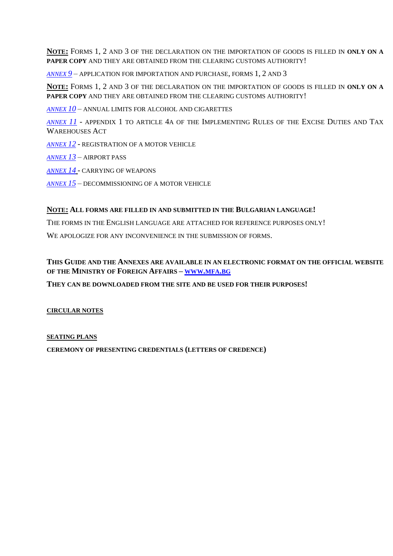**NOTE:** FORMS 1, 2 AND 3 OF THE DECLARATION ON THE IMPORTATION OF GOODS IS FILLED IN **ONLY ON A PAPER COPY** AND THEY ARE OBTAINED FROM THE CLEARING CUSTOMS AUTHORITY!

*[ANNEX](http://www.mfa.bg/uploads/files/!Protokol-Guide/5-Formuliari/2017-06-29/Annex_9.pdf) 9* – APPLICATION FOR IMPORTATION AND PURCHASE, FORMS 1, 2 AND 3

**NOTE:** FORMS 1, 2 AND 3 OF THE DECLARATION ON THE IMPORTATION OF GOODS IS FILLED IN **ONLY ON A PAPER COPY** AND THEY ARE OBTAINED FROM THE CLEARING CUSTOMS AUTHORITY!

*[ANNEX](http://www.mfa.bg/uploads/files/!Protokol-Guide/5-Formuliari/2017-06-29/Annex_10.pdf) 10* – ANNUAL LIMITS FOR ALCOHOL AND CIGARETTES

*[ANNEX](http://www.mfa.bg/uploads/files/!Protokol-Guide/5-Formuliari/2017-06-29/Annex_11.pdf) 11* - APPENDIX 1 TO ARTICLE 4A OF THE IMPLEMENTING RULES OF THE EXCISE DUTIES AND TAX WAREHOUSES ACT

*[ANNEX](http://www.mfa.bg/uploads/files/!Protokol-Guide/5-Formuliari/2017-06-29/Annex_12.pdf) 12* - REGISTRATION OF A MOTOR VEHICLE

*[ANNEX](http://www.mfa.bg/uploads/files/!Protokol-Guide/5-Formuliari/2017-06-29/Annex_13.pdf) 13* – AIRPORT PASS

*[ANNEX](http://www.mfa.bg/uploads/files/!Protokol-Guide/5-Formuliari/2017-06-29/Annex_14.pdf) 14* - CARRYING OF WEAPONS

*[ANNEX](http://www.mfa.bg/uploads/files/!Protokol-Guide/5-Formuliari/Annex_15.jpg) 15* – DECOMMISSIONING OF A MOTOR VEHICLE

#### **NOTE: ALL FORMS ARE FILLED IN AND SUBMITTED IN THE BULGARIAN LANGUAGE!**

THE FORMS IN THE ENGLISH LANGUAGE ARE ATTACHED FOR REFERENCE PURPOSES ONLY!

WE APOLOGIZE FOR ANY INCONVENIENCE IN THE SUBMISSION OF FORMS.

# **THIS GUIDE AND THE ANNEXES ARE AVAILABLE IN AN ELECTRONIC FORMAT ON THE OFFICIAL WEBSITE OF THE MINISTRY OF FOREIGN AFFAIRS – [WWW](http://www.mfa.bg/).MFA.BG**

**THEY CAN BE DOWNLOADED FROM THE SITE AND BE USED FOR THEIR PURPOSES!**

**CIRCULAR NOTES**

#### **SEATING PLANS**

**CEREMONY OF PRESENTING CREDENTIALS (LETTERS OF CREDENCE)**